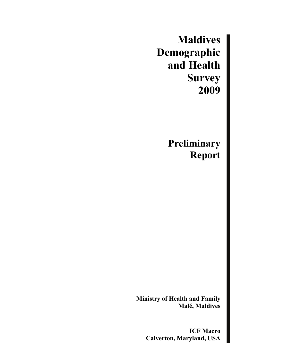**Maldives Demographic and Health Survey 2009** 

> **Preliminary Report**

**Ministry of Health and Family Malé, Maldives** 

> **ICF Macro Calverton, Maryland, USA**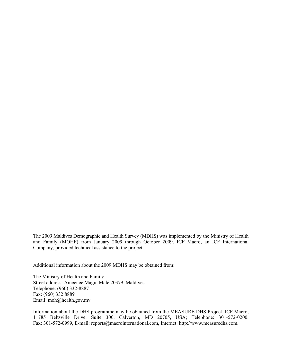The 2009 Maldives Demographic and Health Survey (MDHS) was implemented by the Ministry of Health and Family (MOHF) from January 2009 through October 2009. ICF Macro, an ICF International Company, provided technical assistance to the project.

Additional information about the 2009 MDHS may be obtained from:

The Ministry of Health and Family Street address: Ameenee Magu, Malé 20379, Maldives Telephone: (960) 332-8887 Fax: (960) 332 8889 Email: moh@health.gov.mv

Information about the DHS programme may be obtained from the MEASURE DHS Project, ICF Macro, 11785 Beltsville Drive, Suite 300, Calverton, MD 20705, USA; Telephone: 301-572-0200, Fax: 301-572-0999, E-mail: reports@macrointernational.com, Internet: http://www.measuredhs.com.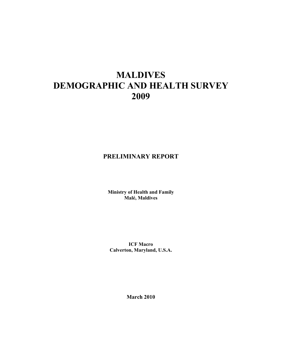# **MALDIVES DEMOGRAPHIC AND HEALTH SURVEY 2009**

# **PRELIMINARY REPORT**

**Ministry of Health and Family Malé, Maldives** 

**ICF Macro Calverton, Maryland, U.S.A.** 

**March 2010**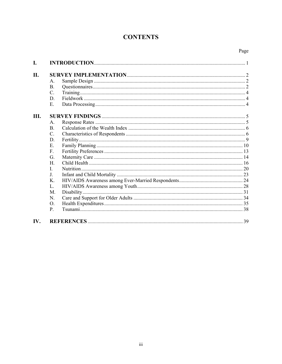# **CONTENTS**

| Page |
|------|
|      |

| L.   |                      |  |
|------|----------------------|--|
| II.  | $A_{-}$<br><b>B.</b> |  |
|      | C.                   |  |
|      | D                    |  |
|      | Е.                   |  |
| III. |                      |  |
|      | $A_{-}$              |  |
|      | <sub>B</sub>         |  |
|      | C.                   |  |
|      | D.                   |  |
|      | Е.                   |  |
|      | F.                   |  |
|      | G.                   |  |
|      | Н.                   |  |
|      | I.                   |  |
|      | $J_{-}$              |  |
|      | K.                   |  |
|      | L.                   |  |
|      | $M_{\odot}$          |  |
|      | N.                   |  |
|      | O.                   |  |
|      | P.                   |  |
| IV.  |                      |  |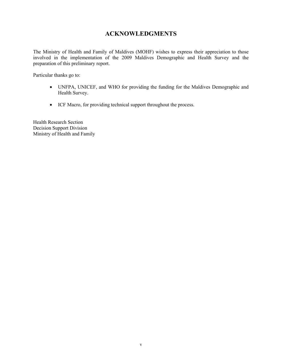# **ACKNOWLEDGMENTS**

The Ministry of Health and Family of Maldives (MOHF) wishes to express their appreciation to those involved in the implementation of the 2009 Maldives Demographic and Health Survey and the preparation of this preliminary report.

Particular thanks go to:

- UNFPA, UNICEF, and WHO for providing the funding for the Maldives Demographic and Health Survey.
- ICF Macro, for providing technical support throughout the process.

Health Research Section Decision Support Division Ministry of Health and Family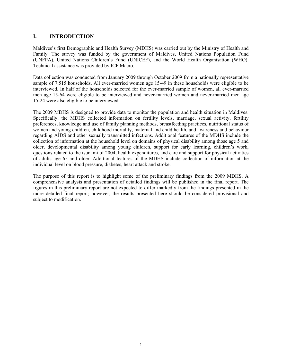# **I. INTRODUCTION**

Maldives's first Demographic and Health Survey (MDHS) was carried out by the Ministry of Health and Family. The survey was funded by the government of Maldives, United Nations Population Fund (UNFPA), United Nations Children's Fund (UNICEF), and the World Health Organisation (WHO). Technical assistance was provided by ICF Macro.

Data collection was conducted from January 2009 through October 2009 from a nationally representative sample of 7,515 households. All ever-married women age 15-49 in these households were eligible to be interviewed. In half of the households selected for the ever-married sample of women, all ever-married men age 15-64 were eligible to be interviewed and never-married women and never-married men age 15-24 were also eligible to be interviewed.

The 2009 MDHS is designed to provide data to monitor the population and health situation in Maldives. Specifically, the MDHS collected information on fertility levels, marriage, sexual activity, fertility preferences, knowledge and use of family planning methods, breastfeeding practices, nutritional status of women and young children, childhood mortality, maternal and child health, and awareness and behaviour regarding AIDS and other sexually transmitted infections. Additional features of the MDHS include the collection of information at the household level on domains of physical disability among those age 5 and older, developmental disability among young children, support for early learning, children's work, questions related to the tsunami of 2004, health expenditures, and care and support for physical activities of adults age 65 and older. Additional features of the MDHS include collection of information at the individual level on blood pressure, diabetes, heart attack and stroke.

The purpose of this report is to highlight some of the preliminary findings from the 2009 MDHS. A comprehensive analysis and presentation of detailed findings will be published in the final report. The figures in this preliminary report are not expected to differ markedly from the findings presented in the more detailed final report; however, the results presented here should be considered provisional and subject to modification.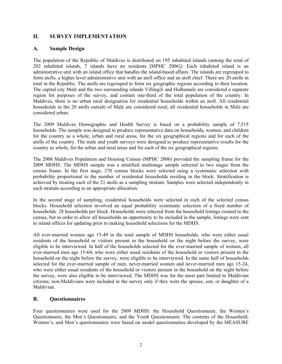# **II. SURVEY IMPLEMENTATION**

# **A. Sample Design**

The population of the Republic of Maldives is distributed on 195 inhabited islands (among the total of 202 inhabited islands, 7 islands have no residents [MPHC 2006]). Each inhabited island is an administrative unit with an island office that handles the island-based affairs. The islands are regrouped to form atolls, a higher level administrative unit with an atoll office and an atoll chief. There are 20 atolls in total in the Republic. The atolls are regrouped to form six geographic regions according to their location. The capital city Malé and the two surrounding islands Villingili and Hulhumale are considered a separate region for purposes of the survey, and contain one-third of the total population of the country. In Maldives, there is no urban rural designation for residential households within an atoll. All residential households in the 20 atolls outside of Malé are considered rural; all residential households in Malé are considered urban.

The 2009 Maldives Demographic and Health Survey is based on a probability sample of 7,515 households. The sample was designed to produce representative data on households, women, and children for the country as a whole, urban and rural areas, for the six geographical regions and for each of the atolls of the country. The male and youth surveys were designed to produce representative results for the country as whole, for the urban and rural areas and for each of the six geographical regions.

The 2006 Maldives Population and Housing Census (MPHC 2006) provided the sampling frame for the 2009 MDHS. The MDHS sample was a stratified multistage sample selected in two stages from the census frame. In the first stage, 270 census blocks were selected using a systematic selection with probability proportional to the number of residential households residing in the block. Stratification is achieved by treating each of the 21 atolls as a sampling stratum. Samples were selected independently in each stratum according to an appropriate allocation.

In the second stage of sampling, residential households were selected in each of the selected census blocks. Household selection involved an equal probability systematic selection of a fixed number of households: 28 households per block. Households were selected from the household listings created in the census, but in order to allow all households an opportunity to be included in the sample, listings were sent to island offices for updating prior to making household selections for the MDHS.

All ever-married women age 15-49 in the total sample of MDHS households, who were either usual residents of the household or visitors present in the household on the night before the survey, were eligible to be interviewed. In half of the households selected for the ever-married sample of women, all ever-married men age 15-64, who were either usual residents of the household or visitors present in the household on the night before the survey, were eligible to be interviewed. In the same half of households selected for the ever-married sample of men, never-married women and never-married men age 15-24, who were either usual residents of the household or visitors present in the household on the night before the survey, were also eligible to be interviewed. The MDHS was for the most part limited to Maldivian citizens; non-Maldivians were included in the survey only if they were the spouse, son, or daughter of a Maldivian.

# **B. Questionnaires**

Four questionnaires were used for the 2009 MDHS: the Household Questionnaire, the Women's Questionnaire, the Men's Questionnaire, and the Youth Questionnaire. The contents of the Household, Women's, and Men's questionnaires were based on model questionnaires developed by the MEASURE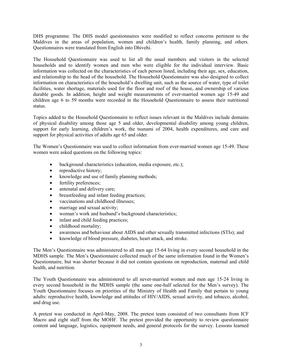DHS programme. The DHS model questionnaires were modified to reflect concerns pertinent to the Maldives in the areas of population, women and children's health, family planning, and others. Questionnaires were translated from English into Dhivehi.

The Household Questionnaire was used to list all the usual members and visitors in the selected households and to identify women and men who were eligible for the individual interview. Basic information was collected on the characteristics of each person listed, including their age, sex, education, and relationship to the head of the household. The Household Questionnaire was also designed to collect information on characteristics of the household's dwelling unit, such as the source of water, type of toilet facilities, water shortage, materials used for the floor and roof of the house, and ownership of various durable goods. In addition, height and weight measurements of ever-married women age 15-49 and children age 6 to 59 months were recorded in the Household Questionnaire to assess their nutritional status.

Topics added to the Household Questionnaire to reflect issues relevant in the Maldives include domains of physical disability among those age 5 and older, developmental disability among young children, support for early learning, children's work, the tsunami of 2004, health expenditures, and care and support for physical activities of adults age 65 and older.

The Women's Questionnaire was used to collect information from ever-married women age 15-49. These women were asked questions on the following topics:

- background characteristics (education, media exposure, etc.);
- reproductive history;
- knowledge and use of family planning methods;
- fertility preferences;
- antenatal and delivery care;
- breastfeeding and infant feeding practices;
- vaccinations and childhood illnesses;
- marriage and sexual activity;
- woman's work and husband's background characteristics;
- infant and child feeding practices;
- childhood mortality;
- awareness and behaviour about AIDS and other sexually transmitted infections (STIs); and
- knowledge of blood pressure, diabetes, heart attack, and stroke.

The Men's Questionnaire was administered to all men age 15-64 living in every second household in the MDHS sample. The Men's Questionnaire collected much of the same information found in the Women's Questionnaire, but was shorter because it did not contain questions on reproduction, maternal and child health, and nutrition.

The Youth Questionnaire was administered to all never-married women and men age 15-24 living in every second household in the MDHS sample (the same one-half selected for the Men's survey). The Youth Questionnaire focuses on priorities of the Ministry of Health and Family that pertain to young adults: reproductive health, knowledge and attitudes of HIV/AIDS, sexual activity, and tobacco, alcohol, and drug use.

A pretest was conducted in April-May, 2008. The pretest team consisted of two consultants from ICF Macro and eight staff from the MOHF. The pretest provided the opportunity to review questionnaire content and language, logistics, equipment needs, and general protocols for the survey. Lessons learned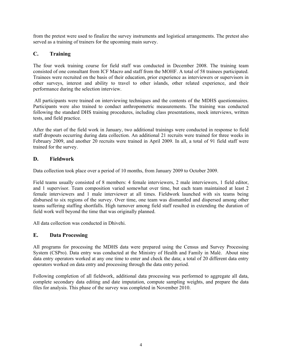from the pretest were used to finalize the survey instruments and logistical arrangements. The pretest also served as a training of trainers for the upcoming main survey.

# **C. Training**

The four week training course for field staff was conducted in December 2008. The training team consisted of one consultant from ICF Macro and staff from the MOHF. A total of 58 trainees participated. Trainees were recruited on the basis of their education, prior experience as interviewers or supervisors in other surveys, interest and ability to travel to other islands, other related experience, and their performance during the selection interview.

 All participants were trained on interviewing techniques and the contents of the MDHS questionnaires. Participants were also trained to conduct anthropometric measurements. The training was conducted following the standard DHS training procedures, including class presentations, mock interviews, written tests, and field practice.

After the start of the field work in January, two additional trainings were conducted in response to field staff dropouts occurring during data collection. An additional 21 recruits were trained for three weeks in February 2009, and another 20 recruits were trained in April 2009. In all, a total of 91 field staff were trained for the survey.

# **D. Fieldwork**

Data collection took place over a period of 10 months, from January 2009 to October 2009.

Field teams usually consisted of 8 members: 4 female interviewers, 2 male interviewers, 1 field editor, and 1 supervisor. Team composition varied somewhat over time, but each team maintained at least 2 female interviewers and 1 male interviewer at all times. Fieldwork launched with six teams being disbursed to six regions of the survey. Over time, one team was dismantled and dispersed among other teams suffering staffing shortfalls. High turnover among field staff resulted in extending the duration of field work well beyond the time that was originally planned.

All data collection was conducted in Dhivehi.

# **E. Data Processing**

All programs for processing the MDHS data were prepared using the Census and Survey Processing System (CSPro). Data entry was conducted at the Ministry of Health and Family in Malé. About nine data entry operators worked at any one time to enter and check the data; a total of 20 different data entry operators worked on data entry and processing through the data entry period.

Following completion of all fieldwork, additional data processing was performed to aggregate all data, complete secondary data editing and date imputation, compute sampling weights, and prepare the data files for analysis. This phase of the survey was completed in November 2010.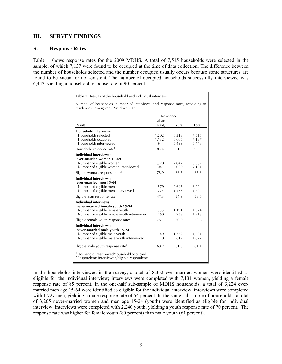## **III. SURVEY FINDINGS**

### **A. Response Rates**

Table 1 shows response rates for the 2009 MDHS. A total of 7,515 households were selected in the sample, of which 7,137 were found to be occupied at the time of data collection. The difference between the number of households selected and the number occupied usually occurs because some structures are found to be vacant or non-existent. The number of occupied households successfully interviewed was 6,443, yielding a household response rate of 90 percent.

| Table 1. Results of the household and individual interviews                                                                                         |                       |                         |                         |
|-----------------------------------------------------------------------------------------------------------------------------------------------------|-----------------------|-------------------------|-------------------------|
| Number of households, number of interviews, and response rates, according to<br>residence (unweighted), Maldives 2009                               |                       |                         |                         |
|                                                                                                                                                     |                       | Residence               |                         |
| Result                                                                                                                                              | Urban<br>(Malé)       | Rural                   | Total                   |
| <b>Household interviews</b><br>Households selected<br>Households occupied<br>Households interviewed                                                 | 1,202<br>1,132<br>944 | 6,313<br>6,005<br>5,499 | 7,515<br>7,137<br>6,443 |
| Household response rate <sup>1</sup>                                                                                                                | 83.4                  | 91.6                    | 90.3                    |
| <b>Individual interviews:</b><br>ever-married women 15-49<br>Number of eligible women<br>Number of eligible women interviewed                       | 1,320<br>1,041        | 7,042<br>6,090          | 8,362<br>7,131          |
| Eligible woman response rate <sup>2</sup>                                                                                                           | 78.9                  | 86.5                    | 85.3                    |
| <b>Individual interviews:</b><br>ever-married men 15-64<br>Number of eligible men<br>Number of eligible men interviewed                             | 579<br>274            | 2,645<br>1,453<br>54.9  | 3,224<br>1,727          |
| Eligible man response rate <sup>2</sup>                                                                                                             | 47.3                  |                         | 53.6                    |
| <b>Individual interviews:</b><br>never-married female youth 15-24<br>Number of eligible female youth<br>Number of eligible female youth interviewed | 333<br>260            | 1,191<br>953            | 1,524<br>1,213          |
| Eligible female youth response rate <sup>2</sup>                                                                                                    | 78.1                  | 80.0                    | 79.6                    |
| <b>Individual interviews:</b><br>never-married male youth 15-24<br>Number of eligible male youth<br>Number of eligible male youth interviewed       | 349<br>210            | 1,332<br>817            | 1,681<br>1,027          |
| Eligible male youth response rate <sup>2</sup>                                                                                                      | 60.2                  | 61.3                    | 61.1                    |
| <sup>1</sup> Household interviewed/household occupied<br><sup>2</sup> Respondents interviewed/eligible respondents                                  |                       |                         |                         |

In the households interviewed in the survey, a total of 8,362 ever-married women were identified as eligible for the individual interview; interviews were completed with 7,131 women, yielding a female response rate of 85 percent. In the one-half sub-sample of MDHS households, a total of 3,224 evermarried men age 15-64 were identified as eligible for the individual interview; interviews were completed with 1,727 men, yielding a male response rate of 54 percent. In the same subsample of households, a total of 3,205 never-married women and men age 15-24 (youth) were identified as eligible for individual interview; interviews were completed with 2,240 youth, yielding a youth response rate of 70 percent. The response rate was higher for female youth (80 percent) than male youth (61 percent).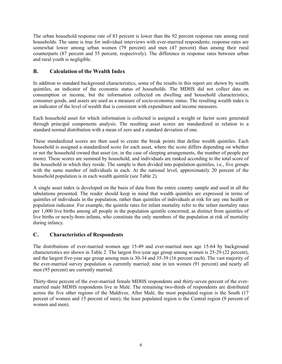The urban household response rate of 83 percent is lower than the 92 percent response rate among rural households. The same is true for individual interviews with ever-married respondents; response rates are somewhat lower among urban women (79 percent) and men (47 percent) than among their rural counterparts (87 percent and 55 percent, respectively). The difference in response rates between urban and rural youth is negligible.

# **B. Calculation of the Wealth Index**

In addition to standard background characteristics, some of the results in this report are shown by wealth quintiles, an indicator of the economic status of households. The MDHS did not collect data on consumption or income, but the information collected on dwelling and household characteristics, consumer goods, and assets are used as a measure of socio-economic status. The resulting wealth index is an indicator of the level of wealth that is consistent with expenditure and income measures.

Each household asset for which information is collected is assigned a weight or factor score generated through principal components analysis. The resulting asset scores are standardized in relation to a standard normal distribution with a mean of zero and a standard deviation of one.

These standardized scores are then used to create the break points that define wealth quintiles. Each household is assigned a standardized score for each asset, where the score differs depending on whether or not the household owned that asset (or, in the case of sleeping arrangements, the number of people per room). These scores are summed by household, and individuals are ranked according to the total score of the household in which they reside. The sample is then divided into population quintiles, i.e., five groups with the same number of individuals in each. At the national level, approximately 20 percent of the household population is in each wealth quintile (see Table 2).

A single asset index is developed on the basis of data from the entire country sample and used in all the tabulations presented. The reader should keep in mind that wealth quintiles are expressed in terms of quintiles of individuals in the population, rather than quintiles of individuals at risk for any one health or population indicator. For example, the quintile rates for infant mortality refer to the infant mortality rates per 1,000 live births among all people in the population quintile concerned, as distinct from quintiles of live births or newly-born infants, who constitute the only members of the population at risk of mortality during infancy.

# **C. Characteristics of Respondents**

The distributions of ever-married women age 15-49 and ever-married men age 15-64 by background characteristics are shown in Table 2. The largest five-year age group among women is 25-29 (22 percent), and the largest five-year age group among men is 30-34 and 35-39 (16 percent each). The vast majority of the ever-married survey population is currently married; nine in ten women (91 percent) and nearly all men (95 percent) are currently married.

Thirty-three percent of the ever-married female MDHS respondents and thirty-seven percent of the evermarried male MDHS respondents live in Malé. The remaining two-thirds of respondents are distributed across the five other regions of the Maldives. After Malé, the most populated region is the South (17 percent of women and 15 percent of men); the least populated region is the Central region (9 percent of women and men).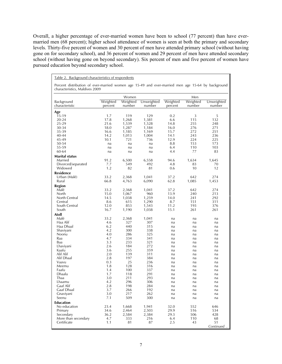Overall, a higher percentage of ever-married women have been to school (77 percent) than have evermarried men (68 percent); higher school attendance of women is seen at both the primary and secondary levels. Thirty-five percent of women and 30 percent of men have attended primary school (without having gone on for secondary school), and 36 percent of women and 29 percent of men have attended secondary school (without having gone on beyond secondary). Six percent of men and five percent of women have pursued education beyond secondary school.

| characteristics, Maldives 2009 |                     |                    |                      |                     |                    |                      |
|--------------------------------|---------------------|--------------------|----------------------|---------------------|--------------------|----------------------|
|                                |                     | Women              |                      |                     | Men                |                      |
| Background<br>characteristic   | Weighted<br>percent | Weighted<br>number | Unweighted<br>number | Weighted<br>percent | Weighted<br>number | Unweighted<br>number |
| Age                            |                     |                    |                      |                     |                    |                      |
| 15-19                          | 1.7                 | 119                | 129                  | 0.2                 | 3                  | 5                    |
| 20-24                          | 17.8                | 1,268              | 1,381                | 6.6                 | 115                | 132                  |
| 25-29                          | 21.6                | 1,539              | 1,528                | 14.8                | 255                | 248                  |
| 30-34                          | 18.0                | 1,287              | 1,184                | 16.0                | 276                | 271                  |
| 35-39                          | 16.6                | 1,185              | 1,169                | 15.7                | 272                | 251                  |
| 40-44                          | 14.2                | 1,013              | 1,004                | 14.1<br>12.9        | 243<br>224         | 236                  |
| 45-49<br>50-54                 | 10.1                | 721                | 736                  | 8.8                 | 153                | 225<br>173           |
| 55-59                          | na<br>na            | na<br>na           | na<br>na             | 6.4                 | 110                | 103                  |
| 60-64                          | na                  | na                 | na                   | 4.4                 | 77                 | 83                   |
| Marital status                 |                     |                    |                      |                     |                    |                      |
| Married                        | 91.2                |                    |                      | 94.6                | 1,634              | 1,645                |
| Divorced/separated             | 7.7                 | 6,500<br>549       | 6,558<br>492         | 4.8                 | 83                 | 70                   |
| Widowed                        | 1.2                 | 82                 | 81                   | 0.6                 | 10                 | 12                   |
| <b>Residence</b>               |                     |                    |                      |                     |                    |                      |
| Urban (Malé)                   | 33.2                | 2,368              | 1,041                | 37.2                | 642                | 274                  |
| Rural                          | 66.8                | 4,763              | 6,090                | 62.8                | 1,085              | 1,453                |
|                                |                     |                    |                      |                     |                    |                      |
| <b>Region</b>                  |                     |                    |                      |                     |                    |                      |
| Malé<br>North                  | 33.2<br>15.0        | 2,368              | 1,041                | 37.2                | 642                | 274                  |
| North Central                  | 14.5                | 1,067              | 960<br>1,259         | 13.9<br>14.0        | 240<br>241         | 213<br>292           |
| Central                        | 8.6                 | 1,038<br>615       | 1,290                | 8.7                 | 151                | 311                  |
| South Central                  | 12.0                | 853                | 1,543                | 11.2                | 193                | 376                  |
| South                          | 16.7                | 1,190              | 1,038                | 15.1                | 261                | 261                  |
| <b>Atoll</b>                   |                     |                    |                      |                     |                    |                      |
| Malé                           | 33.2                | 2,368              | 1,041                | na                  | na                 | na                   |
| Haa Alif                       | 4.6                 | 327                | 307                  | na                  | na                 | na                   |
| Haa Dhaal                      | 6.2                 | 440                | 315                  | na                  | na                 | na                   |
| Shaviyani                      | 4.2                 | 300                | 338                  | na                  | na                 | na                   |
| Noonu                          | 4.0                 | 286                | 325                  | na                  | na                 | na                   |
| Raa                            | 4.7                 | 334                | 341                  | na                  | na                 | na                   |
| Baa                            | 3.3                 | 233                | 321                  | na                  | na                 | na                   |
| Lhaviyani                      | 2.6                 | 184                | 272                  | na                  | na                 | na                   |
| Kaafu                          | 3.6                 | 255                | 359                  | na                  | na                 | na                   |
| Alif Alif                      | 2.0                 | 139                | 311                  | na                  | na                 | na                   |
| Alif Dhaal                     | 2.8                 | 197                | 384                  | na                  | na                 | na                   |
| Vaavu                          | 0.3                 | 25                 | 236                  | na                  | na                 | na                   |
| Meemu                          | 1.8                 | 128                | 316                  | na                  | na                 | na                   |
| Faafu                          | 1.4                 | 100                | 337                  | na                  | na                 | na                   |
| Dhaalu                         | 1.7                 | 118                | 291                  | na                  | na                 | na                   |
| Thaa<br>I haamu                | 3.0                 | 211                | 293                  | na                  | na                 | na                   |
| Gaaf Alif                      | 4.2                 | 296                | 306                  | na                  | na                 | na                   |
| Gaaf Dhaal                     | 2.8<br>3.7          | 198<br>266         | 284<br>192           | na                  | na                 | na                   |
| Gnaviyani                      | 3.0                 | 217                | 262                  | na<br>na            | na<br>na           | na<br>na             |
| Seenu                          | 7.1                 | 509                | 300                  | na                  | na                 | na                   |
| <b>Education</b>               |                     |                    |                      |                     |                    |                      |
| No education                   | 23.4                | 1,668              | 1,941                | 32.0                | 552                | 646                  |
| Primary                        | 34.6                | 2,464              | 2,503                | 29.9                | 516                | 534                  |
| Secondary                      | 36.2                | 2,584              | 2,384                | 29.3                | 506                | 428                  |
| More than secondary            | 4.7                 | 333                | 216                  | 6.4                 | 110                | 68                   |
| Certificate                    | 1.1                 | 81                 | 87                   | 2.5                 | 43                 | 51                   |
|                                |                     |                    |                      |                     |                    | Continued .          |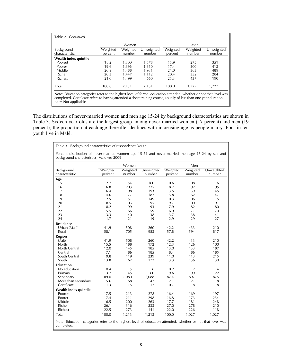|                              |                     | Women              |                      |                     | Men                |                      |
|------------------------------|---------------------|--------------------|----------------------|---------------------|--------------------|----------------------|
| Background<br>characteristic | Weighted<br>percent | Weighted<br>number | Unweighted<br>number | Weighted<br>percent | Weighted<br>number | Unweighted<br>number |
| Wealth index quintile        |                     |                    |                      |                     |                    |                      |
| Poorest                      | 18.2                | 1,300              | 1,578                | 15.9                | 275                | 351                  |
| Poorer                       | 19.6                | 1.396              | 1.850                | 17.4                | 300                | 413                  |
| Middle                       | 20.9                | 1.488              | 1.931                | 21.0                | 363                | 489                  |
| Richer                       | 20.3                | 1.447              | 1.112                | 20.4                | 352                | 284                  |
| <b>Richest</b>               | 21.0                | 1.499              | 660                  | 25.3                | 437                | 190                  |
| Total                        | 100.0               | 7.131              | 7,131                | 100.0               | 1.727              | 1.727                |

completed. Certificate refers to having attended a short training course, usually of less than one year duration. na = Not applicable

The distributions of never-married women and men age 15-24 by background characteristics are shown in Table 3. Sixteen year-olds are the largest group among never-married women (17 percent) and men (19 percent); the proportion at each age thereafter declines with increasing age as people marry. Four in ten youth live in Malé.

| Table 3. Background characteristics of respondents: Youth                                                                                     |          |          |            |          |                |                |
|-----------------------------------------------------------------------------------------------------------------------------------------------|----------|----------|------------|----------|----------------|----------------|
| Percent distribution of never-married women age 15-24 and never-married men age 15-24 by sex and<br>background characteristics, Maldives 2009 |          |          |            |          |                |                |
|                                                                                                                                               |          | Women    |            |          | Men            |                |
| Background                                                                                                                                    | Weighted | Weighted | Unweighted | Weighted | Weighted       | Unweighted     |
| characteristic                                                                                                                                | percent  | number   | number     | percent  | number         | number         |
| Age                                                                                                                                           |          |          |            |          |                |                |
| 15                                                                                                                                            | 12.7     | 154      | 160        | 10.6     | 108            | 116            |
| 16                                                                                                                                            | 16.8     | 203      | 225        | 18.7     | 192            | 195            |
| 17                                                                                                                                            | 16.4     | 198      | 193        | 13.5     | 139            | 145            |
| 18                                                                                                                                            | 14.6     | 177      | 182        | 15.8     | 162            | 147            |
| 19                                                                                                                                            | 12.5     | 151      | 149        | 10.3     | 106            | 115            |
| 20                                                                                                                                            | 8.5      | 103      | 95         | 9.7      | 100            | 91             |
| 21                                                                                                                                            | 8.2      | 99       | 93         | 7.9      | 82             | 80             |
| 22                                                                                                                                            | 5.5      | 66       | 59         | 6.9      | 71             | 70             |
| 23                                                                                                                                            | 3.3      | 40       | 38         | 3.7      | 38             | 41             |
| 24                                                                                                                                            | 1.7      | 21       | 19         | 2.9      | 29             | 27             |
| <b>Residence</b>                                                                                                                              |          |          |            |          |                |                |
| Urban (Malé)                                                                                                                                  | 41.9     | 508      | 260        | 42.2     | 433            | 210            |
| Rural                                                                                                                                         | 58.1     | 705      | 953        | 57.8     | 594            | 817            |
| Region                                                                                                                                        |          |          |            |          |                |                |
| Malé                                                                                                                                          | 41.9     | 508      | 260        | 42.2     | 433            | 210            |
| North                                                                                                                                         | 15.5     | 188      | 172        | 12.3     | 126            | 100            |
| North Central                                                                                                                                 | 12.0     | 145      | 185        | 13.0     | 133            | 187            |
| Central                                                                                                                                       | 7.1      | 86       | 185        | 8.4      | 86             | 185            |
| South Central                                                                                                                                 | 9.8      | 119      | 239        | 11.0     | 113            | 215            |
| South                                                                                                                                         | 13.8     | 167      | 172        | 13.3     | 136            | 130            |
| <b>Education</b>                                                                                                                              |          |          |            |          |                |                |
| No education                                                                                                                                  | 0.4      | 5        | 6          | 0.2      | $\overline{2}$ | $\overline{4}$ |
| Primary                                                                                                                                       | 3.7      | 45       | 60         | 9.6      | 99             | 122            |
| Secondary                                                                                                                                     | 89.0     | 1,080    | 1,088      | 87.4     | 897            | 875            |
| More than secondary                                                                                                                           | 5.6      | 68       | 47         | 2.1      | 21             | 18             |
| Certificate                                                                                                                                   | 1.3      | 15       | 12         | 0.7      | 8              | 8              |
| Wealth index quintile                                                                                                                         |          |          |            |          |                |                |
| Poorest                                                                                                                                       | 17.5     | 213      | 278        | 16.4     | 169            | 197            |
| Poorer                                                                                                                                        | 17.4     | 211      | 298        | 16.8     | 173            | 254            |
| Middle                                                                                                                                        | 16.5     | 200      | 263        | 17.7     | 181            | 248            |
| Richer                                                                                                                                        | 26.1     | 316      | 233        | 27.0     | 278            | 210            |
| Richest                                                                                                                                       | 22.5     | 273      | 141        | 22.0     | 226            | 118            |
| Total                                                                                                                                         | 100.0    | 1,213    | 1,213      | 100.0    | 1,027          | 1,027          |
| Note: Education categories refer to the highest level of education attended, whether or not that level was<br>completed.                      |          |          |            |          |                |                |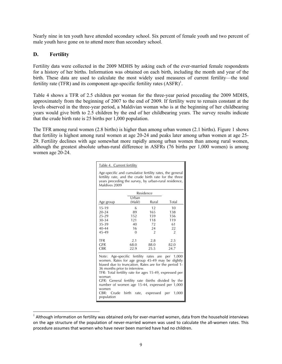Nearly nine in ten youth have attended secondary school. Six percent of female youth and two percent of male youth have gone on to attend more than secondary school.

# **D. Fertility**

Fertility data were collected in the 2009 MDHS by asking each of the ever-married female respondents for a history of her births. Information was obtained on each birth, including the month and year of the birth. These data are used to calculate the most widely used measures of current fertility—the total fertility rate (TFR) and its component age-specific fertility rates  $(ASFR)^1$ .

Table 4 shows a TFR of 2.5 children per woman for the three-year period preceding the 2009 MDHS, approximately from the beginning of 2007 to the end of 2009. If fertility were to remain constant at the levels observed in the three-year period, a Maldivian woman who is at the beginning of her childbearing years would give birth to 2.5 children by the end of her childbearing years. The survey results indicate that the crude birth rate is 25 births per 1,000 population.

The TFR among rural women (2.8 births) is higher than among urban women (2.1 births). Figure 1 shows that fertility is highest among rural women at age 20-24 and peaks later among urban women at age 25- 29. Fertility declines with age somewhat more rapidly among urban women than among rural women, although the greatest absolute urban-rural difference in ASFRs (76 births per 1,000 women) is among women age 20-24.

| Table 4. Current fertility                                                                                                                                                                                                                                                                                                                                                                                                                |        |           |       |  |  |  |  |  |  |
|-------------------------------------------------------------------------------------------------------------------------------------------------------------------------------------------------------------------------------------------------------------------------------------------------------------------------------------------------------------------------------------------------------------------------------------------|--------|-----------|-------|--|--|--|--|--|--|
| Age-specific and cumulative fertility rates, the general<br>fertility rate, and the crude birth rate for the three<br>years preceding the survey, by urban-rural residence,<br>Maldives 2009                                                                                                                                                                                                                                              |        |           |       |  |  |  |  |  |  |
|                                                                                                                                                                                                                                                                                                                                                                                                                                           |        | Residence |       |  |  |  |  |  |  |
|                                                                                                                                                                                                                                                                                                                                                                                                                                           | Urban  |           |       |  |  |  |  |  |  |
| Age group                                                                                                                                                                                                                                                                                                                                                                                                                                 | (Malé) | Rural     | Total |  |  |  |  |  |  |
| 15-19                                                                                                                                                                                                                                                                                                                                                                                                                                     | 6      | 12        | 10    |  |  |  |  |  |  |
| $20 - 24$                                                                                                                                                                                                                                                                                                                                                                                                                                 | 89     | 165       | 138   |  |  |  |  |  |  |
| 25-29                                                                                                                                                                                                                                                                                                                                                                                                                                     | 152    | 159       | 156   |  |  |  |  |  |  |
| 30-34                                                                                                                                                                                                                                                                                                                                                                                                                                     | 121    | 118       | 119   |  |  |  |  |  |  |
| 35-39                                                                                                                                                                                                                                                                                                                                                                                                                                     | 40     | 72        | 61    |  |  |  |  |  |  |
| $40 - 44$                                                                                                                                                                                                                                                                                                                                                                                                                                 | 16     | 24        | 22    |  |  |  |  |  |  |
| 45-49<br>$\overline{2}$<br>$\Omega$<br>2                                                                                                                                                                                                                                                                                                                                                                                                  |        |           |       |  |  |  |  |  |  |
| <b>TFR</b>                                                                                                                                                                                                                                                                                                                                                                                                                                | 2.1    | 2.8       | 2.5   |  |  |  |  |  |  |
| <b>GFR</b>                                                                                                                                                                                                                                                                                                                                                                                                                                | 68.0   | 88.0      | 82.0  |  |  |  |  |  |  |
| <b>CBR</b>                                                                                                                                                                                                                                                                                                                                                                                                                                | 22.9   | 25.5      | 24.7  |  |  |  |  |  |  |
| Note: Age-specific fertility rates are per 1,000<br>women. Rates for age group 45-49 may be slightly<br>biased due to truncation. Rates are for the period 1-<br>36 months prior to interview.<br>TFR: Total fertility rate for ages 15-49, expressed per<br>woman<br>GFR: General fertility rate (births divided by the<br>number of women age 15-44, expressed per 1,000<br>women<br>CBR: Crude birth rate, expressed per<br>population |        |           | 1,000 |  |  |  |  |  |  |

l  $1$  Although information on fertility was obtained only for ever-married women, data from the household interviews on the age structure of the population of never-married women was used to calculate the all-women rates. This procedure assumes that women who have never been married have had no children.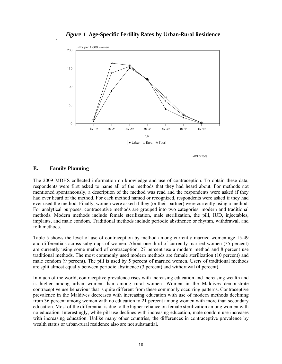*Figure 4.1* **Age-Specific Fertility Rates by Urban-Rural Residence** *Figure 1* **Age-Specific Fertility Rates by Urban-Rural Residence**



# **E. Family Planning**

The 2009 MDHS collected information on knowledge and use of contraception. To obtain these data, respondents were first asked to name all of the methods that they had heard about. For methods not mentioned spontaneously, a description of the method was read and the respondents were asked if they had ever heard of the method. For each method named or recognized, respondents were asked if they had ever used the method. Finally, women were asked if they (or their partner) were currently using a method. For analytical purposes, contraceptive methods are grouped into two categories: modern and traditional methods. Modern methods include female sterilization, male sterilization, the pill, IUD, injectables, implants, and male condom. Traditional methods include periodic abstinence or rhythm, withdrawal, and folk methods.

Table 5 shows the level of use of contraception by method among currently married women age 15-49 and differentials across subgroups of women. About one-third of currently married women (35 percent) are currently using some method of contraception, 27 percent use a modern method and 8 percent use traditional methods. The most commonly used modern methods are female sterilization (10 percent) and male condom (9 percent). The pill is used by 5 percent of married women. Users of traditional methods are split almost equally between periodic abstinence (3 percent) and withdrawal (4 percent).

In much of the world, contraceptive prevalence rises with increasing education and increasing wealth and is higher among urban women than among rural women. Women in the Maldives demonstrate contraceptive use behaviour that is quite different from these commonly occurring patterns. Contraceptive prevalence in the Maldives decreases with increasing education with use of modern methods declining from 36 percent among women with no education to 21 percent among women with more than secondary education. Most of the differential is due to the higher reliance on female sterilization among women with no education. Interestingly, while pill use declines with increasing education, male condom use increases with increasing education. Unlike many other countries, the differences in contraceptive prevalence by wealth status or urban-rural residence also are not substantial.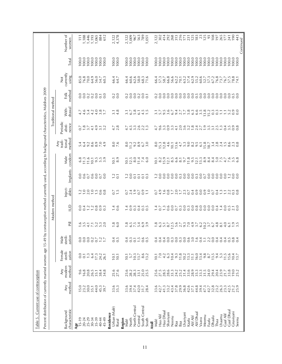| Table 5.                                                 | Current use of contraception                                                                                                                                                                                                                                                                        |                               |                              |                             |                                                                                                                             |                 |                         |                                           |                                                                                                  |                                                 |                                                |                                         |                |                                                                                                                                                                                                                                     |                                                        |                        |
|----------------------------------------------------------|-----------------------------------------------------------------------------------------------------------------------------------------------------------------------------------------------------------------------------------------------------------------------------------------------------|-------------------------------|------------------------------|-----------------------------|-----------------------------------------------------------------------------------------------------------------------------|-----------------|-------------------------|-------------------------------------------|--------------------------------------------------------------------------------------------------|-------------------------------------------------|------------------------------------------------|-----------------------------------------|----------------|-------------------------------------------------------------------------------------------------------------------------------------------------------------------------------------------------------------------------------------|--------------------------------------------------------|------------------------|
| Percent distribution of currently married women age 15-4 |                                                                                                                                                                                                                                                                                                     |                               |                              |                             |                                                                                                                             |                 |                         |                                           | 9 by contraceptive method currently used, according to background characteristics, Maldives 2009 |                                                 |                                                |                                         |                |                                                                                                                                                                                                                                     |                                                        |                        |
|                                                          |                                                                                                                                                                                                                                                                                                     |                               |                              |                             |                                                                                                                             | Modern method   |                         |                                           |                                                                                                  |                                                 |                                                | Traditional method                      |                |                                                                                                                                                                                                                                     |                                                        |                        |
| characteristic<br>Background                             | method<br>Any                                                                                                                                                                                                                                                                                       | modern<br>method<br>Any       | Female<br>sterili-<br>zation | sterili-<br>zation<br>Male  | Ρill                                                                                                                        | $\supseteq$     | Inject-<br>ables        | Implants                                  | condom<br>Male                                                                                   | method<br>tradi-<br>tional<br>$\overline{A}$ ny | Periodic<br>nence<br>absti-                    | drawal<br>With-                         | method<br>Folk | currently<br>using<br>$\breve{\mathsf{z}}$                                                                                                                                                                                          | Total                                                  | Number of<br>women     |
| $Age_{15-19}$                                            |                                                                                                                                                                                                                                                                                                     |                               |                              |                             |                                                                                                                             |                 |                         |                                           |                                                                                                  |                                                 |                                                |                                         |                |                                                                                                                                                                                                                                     |                                                        |                        |
|                                                          | 15.0                                                                                                                                                                                                                                                                                                | 9.6                           | 0.0                          |                             |                                                                                                                             | 0.0             | $\frac{2}{1}$ .0        |                                           | $6.8$<br>11.3                                                                                    | 5.4                                             |                                                |                                         |                | 85.0                                                                                                                                                                                                                                | 100.0                                                  | $\Xi$                  |
| $20 - 24$                                                | 23.2                                                                                                                                                                                                                                                                                                | 16.8                          | $\overline{0}$               |                             | $3.\overline{5}$                                                                                                            | 0.4             |                         |                                           |                                                                                                  | 6.4                                             |                                                |                                         |                | 76.8                                                                                                                                                                                                                                | 100.0                                                  | $1,188$<br>$1,446$     |
| 25-29<br>$30 - 34$                                       | 30.0<br>35.1                                                                                                                                                                                                                                                                                        | 20.8<br>26.5                  | $\ddot{1}$<br>6.4            |                             |                                                                                                                             |                 |                         |                                           |                                                                                                  |                                                 |                                                |                                         |                | 70.0<br>64.9                                                                                                                                                                                                                        | 100.0                                                  |                        |
| 35-39                                                    | 44.0                                                                                                                                                                                                                                                                                                | 35.1                          |                              |                             |                                                                                                                             |                 |                         |                                           |                                                                                                  |                                                 |                                                |                                         |                |                                                                                                                                                                                                                                     | 100.0<br>100.0                                         | 1,193<br>1,065         |
| 40-44                                                    | 45.3                                                                                                                                                                                                                                                                                                | 38.4                          | $17.3$<br>24.2               |                             | $777200$<br>$47900$                                                                                                         | 770000          |                         | 887887<br>88988                           |                                                                                                  | $3.690$<br>$0.600$                              | 0.87797                                        | フ - コ ユ ユ コ コ コ コ コ コ コ コ コ コ コ コ コ コ コ | 883385         | 56.0<br>54.7                                                                                                                                                                                                                        | 100.0                                                  | 884                    |
| 45-49                                                    | 39.7                                                                                                                                                                                                                                                                                                | 34.8                          | 26.1                         |                             |                                                                                                                             |                 | $0.\overline{8}$        | 0.0                                       |                                                                                                  | 4.9                                             | 3.2                                            |                                         | 0.0            | 60.3                                                                                                                                                                                                                                | 100.0                                                  | 612                    |
| Urban (Malé)<br>Residence<br><b>Rural</b>                | 33.3                                                                                                                                                                                                                                                                                                | $25.6$<br>$27.6$              | 10.1<br>10.1                 | 4 ru<br>೦ ೦                 | $\frac{0.8}{0.0}$                                                                                                           | $\frac{1}{4}$ 6 | $0.7$<br>$-1.5$         | $\frac{1}{2}$ $\frac{1}{2}$               | $\frac{10.1}{8.9}$                                                                               | $\frac{0}{7.6}$                                 | $4.\overline{7}$<br>2.8                        | $3.\overline{1}$<br>4.8                 | 0.2            | 66.4<br>64.7                                                                                                                                                                                                                        | 100.0<br>100.0                                         | $2,122$<br>4,378       |
| Region                                                   |                                                                                                                                                                                                                                                                                                     |                               |                              |                             |                                                                                                                             |                 |                         |                                           |                                                                                                  |                                                 |                                                |                                         |                |                                                                                                                                                                                                                                     |                                                        |                        |
| Malé                                                     | 33.6                                                                                                                                                                                                                                                                                                | $25.6$<br>$28.2$              | 10.1                         |                             | 1.8                                                                                                                         | 1.4             | $\overline{0}$ .        |                                           |                                                                                                  | 8.0                                             |                                                |                                         | 0.2            | 66.4                                                                                                                                                                                                                                | 100.0                                                  | 2,122<br>1,009         |
| North                                                    | 39.4                                                                                                                                                                                                                                                                                                |                               | 5.7                          |                             |                                                                                                                             |                 |                         | 7.000                                     | $\frac{10.1}{2.5}$                                                                               | 11.2                                            |                                                | $7.78$<br>$0.58$                        |                | 60.6                                                                                                                                                                                                                                | 100.0                                                  |                        |
| North Central<br>Central                                 | 37.4<br>42.0                                                                                                                                                                                                                                                                                        | 28.3                          | 10.3                         | 4 m = 10 0 m<br>0 0 0 + 0 0 |                                                                                                                             | 0.000000        | $2.4$<br>$7.9$<br>$0.7$ |                                           |                                                                                                  | 9.2                                             | フラスタンコート                                       | $6.1\,$                                 | 0.300000       | 62.6                                                                                                                                                                                                                                | 100.0                                                  | 967                    |
| South Central                                            | 31.7                                                                                                                                                                                                                                                                                                | $33.1$<br>$25.0$<br>$25.5$    |                              |                             |                                                                                                                             |                 | 0.9                     | $\frac{7}{6}$ $\frac{7}{6}$ $\frac{3}{6}$ | $\frac{1}{4}$ $\frac{1}{4}$ $\frac{1}{4}$ $\frac{1}{4}$                                          | $8.9$<br>6.7                                    |                                                |                                         |                | $\frac{58.0}{68.3}$                                                                                                                                                                                                                 | $\begin{array}{c} 100.0 \\ 100.0 \\ 100.0 \end{array}$ | 563<br>789             |
| South                                                    | 28.4                                                                                                                                                                                                                                                                                                |                               | $8.6$<br>13.2                |                             |                                                                                                                             |                 | $\sum$                  |                                           |                                                                                                  | 3.0                                             |                                                | $\frac{4}{1}$ .5                        |                |                                                                                                                                                                                                                                     |                                                        | 1,051                  |
| <b>Atoll</b>                                             |                                                                                                                                                                                                                                                                                                     |                               |                              |                             |                                                                                                                             |                 |                         |                                           |                                                                                                  |                                                 |                                                |                                         |                |                                                                                                                                                                                                                                     |                                                        |                        |
| Malé                                                     | 33.6<br>42.7                                                                                                                                                                                                                                                                                        | $0.556$<br>$0.788$<br>$0.788$ | $\overline{2}$ .0<br>10.1    |                             | 1.8<br>6.3                                                                                                                  | 0.7             | 4.9<br>0.7              | 0.0                                       | 10.1                                                                                             |                                                 | 4.7<br>9.6                                     | 3.1<br>5.7                              |                | 66.4<br>57.3                                                                                                                                                                                                                        | 100.0<br>100.0                                         | 302<br>2,122           |
| Haa Dhaal<br>Haa Alif                                    | 41.3                                                                                                                                                                                                                                                                                                |                               |                              |                             |                                                                                                                             | 1.3             |                         | 0.0                                       |                                                                                                  |                                                 |                                                |                                         |                |                                                                                                                                                                                                                                     | 100.0                                                  | 414                    |
| Shaviyani                                                | 33.2                                                                                                                                                                                                                                                                                                |                               | $4.\overline{3}$             |                             | $\frac{1}{6}$ .7                                                                                                            | 0.6             | $\frac{6007}{-0.7}$     | 0.0                                       |                                                                                                  |                                                 |                                                | 9.5<br>3.6                              |                | $58.7$<br>66.8                                                                                                                                                                                                                      | 100.0                                                  | 292                    |
| Noonu                                                    | $43.09$<br>$7.89$<br>$29.0$                                                                                                                                                                                                                                                                         | 322353<br>32553               | $19.38$<br>$19.2$<br>$19.2$  |                             | $\begin{array}{c} 12.5 \\ 5.0 \\ 2.7 \\ 9.3 \\ 0.0 \\ \end{array}$                                                          |                 |                         | oomooomorooo<br>oooooooooo                | $\begin{array}{c} 2.000000 \\ 0.000000 \\ 0.000000 \\ \end{array}$                               | $10.1$<br>$13.6$<br>$4.7$                       | nonto ona thon-nn<br>nonto ona thon-nn         | 6.7                                     |                | 6<br>6 GR - 6 GR - 6 GR - 6 GR - 6 GR - 6 GR - 6 GR - 6 GR - 6 GR - 6 GR - 6 GR - 6 GR - 6 GR - 6 GR - 6 GR - 6 GR<br>6 GR - 6 GR - 6 GR - 6 GR - 6 GR - 6 GR - 6 GR - 6 GR - 6 GR - 6 GR - 6 GR - 6 GR - 6 GR - 6 GR - 6 GR - 6 GR | 100.0<br>100.0                                         | 268<br>375<br>171      |
| Raa<br>Baa                                               |                                                                                                                                                                                                                                                                                                     |                               |                              |                             |                                                                                                                             |                 |                         |                                           |                                                                                                  |                                                 |                                                |                                         |                |                                                                                                                                                                                                                                     | 100.0                                                  |                        |
| Lhaviyani                                                |                                                                                                                                                                                                                                                                                                     |                               |                              |                             |                                                                                                                             |                 |                         |                                           |                                                                                                  | 5.3                                             |                                                | $9.758$<br>$7.78$                       |                |                                                                                                                                                                                                                                     | 100.0                                                  |                        |
| Kaafu                                                    | $36.8$<br>$42.6$<br>$37.1$                                                                                                                                                                                                                                                                          |                               | 13.3                         |                             |                                                                                                                             | 0.3             |                         |                                           | $11.8$<br>$19.1$<br>$13.3$                                                                       | 9.0                                             |                                                |                                         |                |                                                                                                                                                                                                                                     | 100.0                                                  | $\frac{231}{125}$      |
| Alif Dhaal<br>Alif Alif                                  | 44.8                                                                                                                                                                                                                                                                                                |                               | 16.0<br>11.1                 |                             | $4 \times 2 \times 7 \times 7$<br>$4 \times 3 \times 7 \times 7$<br>$4 \times 3 \times 7 \times 7$<br>$4 \times 3 \times 7$ |                 |                         |                                           |                                                                                                  | $3.5 - 1.5$                                     |                                                | 6.3                                     |                |                                                                                                                                                                                                                                     | 100.0<br>100.0                                         |                        |
| Vaavu                                                    |                                                                                                                                                                                                                                                                                                     |                               | 13.4                         |                             |                                                                                                                             |                 |                         |                                           |                                                                                                  |                                                 |                                                |                                         |                |                                                                                                                                                                                                                                     | 100.0                                                  |                        |
| Meemu                                                    |                                                                                                                                                                                                                                                                                                     |                               |                              |                             |                                                                                                                             | 0.0             |                         |                                           |                                                                                                  |                                                 |                                                |                                         |                |                                                                                                                                                                                                                                     | 100.0                                                  | $^{23}_{12}$           |
| Faafu                                                    |                                                                                                                                                                                                                                                                                                     |                               |                              |                             |                                                                                                                             | 0.0             |                         |                                           | 0. 4. 4. 0.<br>0. 9. 9. 0.                                                                       | $15.8$<br>$18.748$<br>$2.48$                    |                                                |                                         |                |                                                                                                                                                                                                                                     | 100.0                                                  |                        |
| Dhaalu                                                   |                                                                                                                                                                                                                                                                                                     |                               |                              |                             |                                                                                                                             |                 |                         |                                           |                                                                                                  |                                                 |                                                |                                         |                |                                                                                                                                                                                                                                     | 100.0                                                  | 108                    |
| Lhaamu<br>Thaa                                           | $\begin{array}{l} 4.0.76 \\ 2.047 \\ 3.047 \\ 4.000 \\ 4.000 \\ 4.000 \\ 4.000 \\ 4.000 \\ 4.000 \\ 4.000 \\ 4.000 \\ 4.000 \\ 4.000 \\ 4.000 \\ 4.000 \\ 4.000 \\ 4.000 \\ 4.000 \\ 4.000 \\ 4.000 \\ 4.000 \\ 4.000 \\ 4.000 \\ 4.000 \\ 4.000 \\ 4.000 \\ 4.000 \\ 4.000 \\ 4.000 \\ 4.000 \\ 4$ | 23.9                          |                              |                             | 8.1                                                                                                                         | 0.4             | 1.3                     |                                           |                                                                                                  | 2.4                                             |                                                | $\Xi$                                   |                |                                                                                                                                                                                                                                     | 100.0<br>100.0                                         |                        |
| Gaaf Alif<br>Gaaf Dhaal                                  |                                                                                                                                                                                                                                                                                                     | 21.7                          | 11.5                         |                             | 4.0                                                                                                                         |                 |                         |                                           | $7.5$<br>4.7                                                                                     |                                                 |                                                |                                         |                |                                                                                                                                                                                                                                     | 100.0                                                  | 265                    |
|                                                          |                                                                                                                                                                                                                                                                                                     |                               | $15.6$<br>$10.4$             |                             | 6.1                                                                                                                         | 1.057           | 7.33                    |                                           |                                                                                                  | $1.5$<br>$6.3$<br>$2.3$                         |                                                | $7.39$<br>$-0.9$                        |                | $73.7$<br>$76.7$<br>$57.5$<br>$78.3$                                                                                                                                                                                                | 100.0                                                  | 241                    |
| Gnaviyani<br>Seenu                                       | 21.2<br>25.9                                                                                                                                                                                                                                                                                        | $33.0$<br>$19.0$<br>$25.2$    | 13.7                         |                             | 7.5                                                                                                                         | 0.0             | 0.8                     |                                           | $7.58$<br>$7.58$                                                                                 | $0.\overline{8}$                                | $\begin{array}{c} 4.0.08 \\ 0.000 \end{array}$ | 0.0                                     |                | 74.1                                                                                                                                                                                                                                | $\begin{array}{c} 100.0 \\ 100.0 \end{array}$          | 443<br>$\frac{190}{2}$ |
|                                                          |                                                                                                                                                                                                                                                                                                     |                               |                              |                             |                                                                                                                             |                 |                         |                                           |                                                                                                  |                                                 |                                                |                                         |                |                                                                                                                                                                                                                                     |                                                        | Continued              |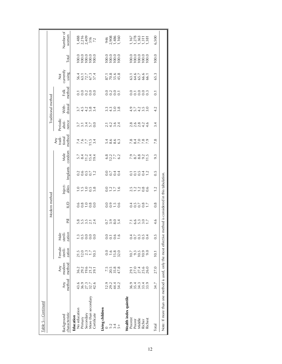| Table 5—Continued                                                                                       |                                     |                                                 |                                       |                            |                          |                         |                  |                  |                                    |                                                                                              |                             |                        |                  |                              |                                                                                      |                                                                   |
|---------------------------------------------------------------------------------------------------------|-------------------------------------|-------------------------------------------------|---------------------------------------|----------------------------|--------------------------|-------------------------|------------------|------------------|------------------------------------|----------------------------------------------------------------------------------------------|-----------------------------|------------------------|------------------|------------------------------|--------------------------------------------------------------------------------------|-------------------------------------------------------------------|
|                                                                                                         |                                     |                                                 |                                       |                            |                          | Modern method           |                  |                  |                                    |                                                                                              |                             | Traditional method     |                  |                              |                                                                                      |                                                                   |
| characteristic<br>Background                                                                            | method<br><b>Any</b>                | modern<br>method<br>Any                         | Female<br>sterili-<br>zation          | Male<br>sterili-<br>zation | Ξ                        | $\overline{\mathsf{D}}$ | Inject-<br>ables | Implants         | condom<br>Male                     | method<br>$\begin{array}{c}\n\mathsf{Any} \\ \mathsf{tradi} \\ \mathsf{tional}\n\end{array}$ | Periodic<br>absti-<br>nence | drawal<br>With-        | method<br>Folk   | Not<br>currently<br>using    | Total                                                                                | Number of<br>women                                                |
| No education<br>Education                                                                               |                                     |                                                 |                                       |                            |                          |                         |                  |                  |                                    |                                                                                              |                             |                        |                  |                              |                                                                                      |                                                                   |
| More than secondary<br>Primary<br>Secondary<br>Certificate                                              | $699776$<br>$487774$                | $30.29$<br>$0.29$<br>$0.29$<br>$0.79$<br>$0.79$ | $71.5$<br>$72.3$<br>$71.7$<br>$71.3$  | -<br>-<br>-<br>-<br>-<br>- | 8 5 5 5 4<br>8 5 5 6 7 6 | 000000<br>00000         | 2.70000          | 0.9957           |                                    | 7 7 7 7 7 9<br>4 9 7 7 9 4<br>4 9 7 9 4                                                      | $3.7770$<br>$3.7700$        | 244534<br>244534       | 70,000           | 56.1<br>63.1<br>57.3<br>57.4 | $\begin{array}{l} 100.0 \\ 100.0 \\ 100.0 \\ 100.0 \\ 100.0 \\ 100.0 \\ \end{array}$ | $\frac{1,488}{2,216}$<br>2,216<br>316<br>72                       |
| Living children                                                                                         |                                     |                                                 |                                       |                            |                          |                         |                  |                  |                                    |                                                                                              |                             |                        |                  |                              |                                                                                      |                                                                   |
| $\frac{2}{1}$ $\frac{4}{3}$                                                                             | $0.242$<br>$0.442$<br>$0.442$       | 15<br>1558<br>2554                              |                                       | 0.1.00<br>0.001            | 0.004<br>0.004           | 0.9996                  | 0.276            | 0.0000           |                                    | 1,000<br>1,000                                                                               | 1.2.94<br>2.4.92            |                        | 0205<br>0000     | 87.1<br>80.6<br>45.45        |                                                                                      | 946<br>2,908<br>1,160<br>1,160                                    |
|                                                                                                         |                                     |                                                 | $1.6$<br>$1.5$<br>$3.2$               |                            |                          |                         |                  |                  |                                    |                                                                                              |                             |                        |                  |                              |                                                                                      |                                                                   |
| $+$                                                                                                     |                                     |                                                 |                                       |                            |                          |                         |                  |                  |                                    |                                                                                              |                             |                        |                  |                              |                                                                                      |                                                                   |
| Wealth index quintile<br>Poorest                                                                        |                                     |                                                 |                                       |                            |                          |                         |                  |                  |                                    |                                                                                              |                             |                        |                  |                              |                                                                                      |                                                                   |
| Poorer                                                                                                  | o 4 m 4 o<br>9 m 4 m m<br>9 m 4 m m | 10160<br>22222                                  | n 3 3 9 9 9<br>Po 9 9 9 9<br>Po 9 9 9 |                            | r g m q r<br>r g m q r   | 00007                   | 77780            | 00007            | 0. 1 8 9 0. 1 9<br>0. 1 8 9 0. 1 9 | v 8 V V V<br>8 4 0 6 0<br>8 4 0 8 0                                                          | a o o a q o<br>N N N 4 4    | $4.04.00$<br>$4.04.00$ | 0.700m           | 31655651<br>635665           |                                                                                      |                                                                   |
| Middle                                                                                                  |                                     |                                                 |                                       |                            |                          |                         |                  |                  |                                    |                                                                                              |                             |                        |                  |                              |                                                                                      |                                                                   |
| Richer                                                                                                  |                                     |                                                 |                                       |                            |                          |                         |                  |                  |                                    |                                                                                              |                             |                        |                  |                              |                                                                                      |                                                                   |
| Richest                                                                                                 |                                     |                                                 |                                       |                            |                          |                         |                  |                  |                                    |                                                                                              |                             |                        |                  |                              |                                                                                      | $\frac{1,167}{1,278}$<br>$\frac{278}{1,363}$<br>$\frac{1}{1,381}$ |
| Total                                                                                                   | 34.7                                | 27.0                                            | 10.1                                  | $\frac{5}{2}$              | 4.6                      | 0.8                     | 1.2              | $0.\overline{5}$ | 9.3                                | 7.8                                                                                          | 3.4                         | 4.2                    | $\overline{0}$ . | 65.3                         | 100.0                                                                                | 6,500                                                             |
| Note: If more than one method is used, only the most effective method is considered in this tabulation. |                                     |                                                 |                                       |                            |                          |                         |                  |                  |                                    |                                                                                              |                             |                        |                  |                              |                                                                                      |                                                                   |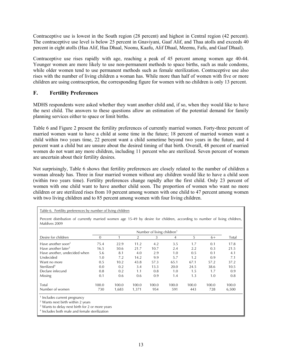Contraceptive use is lowest in the South region (28 percent) and highest in Central region (42 percent). The contraceptive use level is below 25 percent in Gnaviyani, Gaaf Alif, and Thaa atolls and exceeds 40 percent in eight atolls (Haa Alif, Haa Dhaal, Noonu, Kaafu, Alif Dhaal, Meemu, Fafu, and Gaaf Dhaal).

Contraceptive use rises rapidly with age, reaching a peak of 45 percent among women age 40-44. Younger women are more likely to use non-permanent methods to space births, such as male condoms, while older women tend to use permanent methods such as female sterilization. Contraceptive use also rises with the number of living children a woman has. While more than half of women with five or more children are using contraception, the corresponding figure for women with no children is only 13 percent.

# **F. Fertility Preferences**

MDHS respondents were asked whether they want another child and, if so, when they would like to have the next child. The answers to these questions allow an estimation of the potential demand for family planning services either to space or limit births.

Table 6 and Figure 2 present the fertility preferences of currently married women. Forty-three percent of married women want to have a child at some time in the future; 18 percent of married women want a child within two years time, 22 percent want a child sometime beyond two years in the future, and 4 percent want a child but are unsure about the desired timing of that birth. Overall, 48 percent of married women do not want any more children, including 11 percent who are sterilized. Seven percent of women are uncertain about their fertility desires.

Not surprisingly, Table 6 shows that fertility preferences are closely related to the number of children a woman already has. Three in four married women without any children would like to have a child soon (within two years time). Fertility preferences change rapidly after the first child. Only 23 percent of women with one child want to have another child soon. The proportion of women who want no more children or are sterilized rises from 10 percent among women with one child to 47 percent among women with two living children and to 85 percent among women with four living children.

| Table 6. Fertility preferences by number of living children                                                                                |          |       |       |                                        |       |       |       |       |
|--------------------------------------------------------------------------------------------------------------------------------------------|----------|-------|-------|----------------------------------------|-------|-------|-------|-------|
| Percent distribution of currently married women age 15-49 by desire for children, according to number of living children,<br>Maldives 2009 |          |       |       |                                        |       |       |       |       |
|                                                                                                                                            |          |       |       | Number of living children <sup>1</sup> |       |       |       |       |
| Desire for children                                                                                                                        | $\Omega$ |       | 2     | 3                                      | 4     | 5     | $6+$  | Total |
| Have another soon <sup>2</sup>                                                                                                             | 75.4     | 22.9  | 11.2  | 4.2                                    | 3.5   | 1.7   | 0.1   | 17.8  |
| Have another later <sup>3</sup>                                                                                                            | 16.5     | 50.6  | 21.7  | 10.7                                   | 2.4   | 2.2   | 0.3   | 21.5  |
| Have another, undecided when                                                                                                               | 5.6      | 8.1   | 4.0   | 2.9                                    | 1.0   | 0.5   | 0.1   | 4.1   |
| Undecided                                                                                                                                  | 1.0      | 7.2   | 14.2  | 9.9                                    | 5.7   | 1.2   | 0.9   | 7.1   |
| Want no more                                                                                                                               | 0.5      | 10.2  | 43.8  | 57.3                                   | 65.1  | 67.1  | 57.2  | 37.2  |
| Sterilized <sup>4</sup>                                                                                                                    | 0.0      | 0.2   | 3.4   | 13.3                                   | 20.0  | 24.5  | 38.6  | 10.5  |
| Declare infecund                                                                                                                           | 0.8      | 0.2   | 1.1   | 0.8                                    | 1.0   | 1.5   | 1.7   | 0.9   |
| Missing                                                                                                                                    | 0.1      | 0.6   | 0.6   | 0.9                                    | 1.4   | 1.3   | 1.0   | 0.8   |
| Total                                                                                                                                      | 100.0    | 100.0 | 100.0 | 100.0                                  | 100.0 | 100.0 | 100.0 | 100.0 |
| Number of women                                                                                                                            | 730      | 1,683 | 1,371 | 954                                    | 591   | 443   | 728   | 6,500 |

<sup>1</sup> Includes current pregnancy

2 Wants next birth within 2 years

<sup>3</sup> Wants to delay next birth for 2 or more years

4 Includes both male and female sterilization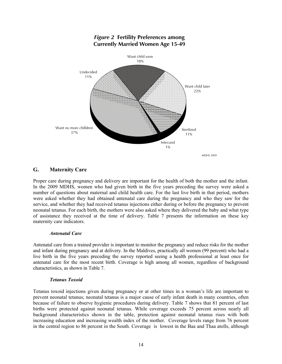

# *Figure 2* **Fertility Preferences among Currently Married Women Age 15-49**

# **G. Maternity Care**

Proper care during pregnancy and delivery are important for the health of both the mother and the infant. In the 2009 MDHS, women who had given birth in the five years preceding the survey were asked a number of questions about maternal and child health care. For the last live birth in that period, mothers were asked whether they had obtained antenatal care during the pregnancy and who they saw for the service, and whether they had received tetanus injections either during or before the pregnancy to prevent neonatal tetanus. For each birth, the mothers were also asked where they delivered the baby and what type of assistance they received at the time of delivery. Table 7 presents the information on these key maternity care indicators.

### *Antenatal Care*

Antenatal care from a trained provider is important to monitor the pregnancy and reduce risks for the mother and infant during pregnancy and at delivery. In the Maldives, practically all women (99 percent) who had a live birth in the five years preceding the survey reported seeing a health professional at least once for antenatal care for the most recent birth. Coverage is high among all women, regardless of background characteristics, as shown in Table 7.

# *Tetanus Toxoid*

Tetanus toxoid injections given during pregnancy or at other times in a woman's life are important to prevent neonatal tetanus; neonatal tetanus is a major cause of early infant death in many countries, often because of failure to observe hygienic procedures during delivery. Table 7 shows that 81 percent of last births were protected against neonatal tetanus. While coverage exceeds 75 percent across nearly all background characteristics shown in the table, protection against neonatal tetanus rises with both increasing education and increasing wealth index of the mother. Coverage levels range from 76 percent in the central region to 86 percent in the South. Coverage is lowest in the Baa and Thaa atolls, although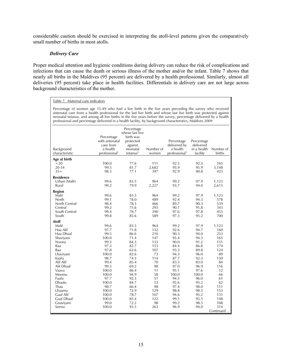considerable caution should be exercised in interpreting the atoll-level patterns given the comparatively small number of births in most atolls.

### *Delivery Care*

Proper medical attention and hygienic conditions during delivery can reduce the risk of complications and infections that can cause the death or serious illness of the mother and/or the infant. Table 7 shows that nearly all births in the Maldives (95 percent) are delivered by a health professional. Similarly, almost all deliveries (95 percent) take place in health facilities. Differentials in delivery care are not large across background characteristics of the mother.

#### Table 7. Maternal care indicators

Percentage of women age 15-49 who had a live birth in the five years preceding the survey who received antenatal care from a health professional for the last live birth and whose last live birth was protected against neonatal tetanus, and among all live births in the five years before the survey, percentage delivered by a health professional and percentage delivered in a health facility, by background characteristics, Maldives 2009

| л.               |                           |                      |           |                           |             |             |
|------------------|---------------------------|----------------------|-----------|---------------------------|-------------|-------------|
|                  |                           | Percentage           |           |                           |             |             |
|                  |                           | whose last live      |           |                           |             |             |
|                  | Percentage                | birth was            |           |                           |             |             |
|                  | with antenatal            | protected            |           | Percentage                | Percentage  |             |
|                  | care from                 | against              |           | delivered by              | delivered   |             |
| Background       | a health                  | neonatal             | Number of | a health                  | in a health | Number of   |
| characteristic   | professional <sup>1</sup> | tetanus <sup>2</sup> | women     | professional <sup>1</sup> | facility    | births      |
| Age at birth     |                           |                      |           |                           |             |             |
| $20$             | 100.0                     | 77.6                 | 111       | 92.5                      | 92.3        | 165         |
| 20-34            | 99.5                      | 81.7                 | 2,682     | 95.9                      | 95.9        | 3,148       |
| $35+$            | 98.3                      | 77.1                 | 397       | 92.9                      | 90.8        | 423         |
| <b>Residence</b> |                           |                      |           |                           |             |             |
| Urban (Malé)     | 99.6                      | 83.5                 | 964       | 99.2                      | 97.9        | 1,123       |
| Rural            | 99.2                      | 79.9                 | 2,227     | 93.7                      | 94.0        | 2,613       |
|                  |                           |                      |           |                           |             |             |
| Region<br>Malé   | 99.6                      | 83.5                 | 964       | 99.2                      | 97.9        | 1,123       |
| North            | 99.1                      | 78.0                 | 489       | 92.4                      | 94.3        | 578         |
| North Central    | 98.4                      | 78.5                 | 466       | 89.7                      | 90.3        | 539         |
| Central          | 99.2                      | 75.6                 | 293       | 90.1                      | 91.8        | 343         |
| South Central    | 99.4                      | 78.7                 | 390       | 97.6                      | 97.8        | 453         |
| South            | 99.8                      | 85.6                 | 589       | 97.3                      | 95.2        | 700         |
| <b>Atoll</b>     |                           |                      |           |                           |             |             |
| Malé             | 99.6                      | 83.5                 | 964       | 99.2                      | 97.9        | 1,123       |
| Haa Alif         | 97.7                      | 71.8                 | 132       | 92.6                      | 94.7        | 160         |
| Haa Dhaal        | 99.5                      | 86.6                 | 210       | 90.3                      | 94.0        | 253         |
| Shaviyani        | 100.0                     | 71.4                 | 147       | 95.4                      | 94.3        | 165         |
| Noonu            | 99.3                      | 84.3                 | 133       | 90.0                      | 91.2        | 151         |
| Raa              | 97.3                      | 82.7                 | 153       | 84.4                      | 86.8        | 174         |
| Baa              | 97.8                      | 62.6                 | 107       | 93.3                      | 89.8        | 124         |
| Lhaviyani        | 100.0                     | 82.6                 | 73        | 94.3                      | 96.0        | 89          |
| Kaafu            | 98.7                      | 74.3                 | 114       | 87.7                      | 92.3        | 130         |
| Alif Alif        | 99.4                      | 85.4                 | 70        | 83.3                      | 83.0        | 84          |
| Alif Dhaal       | 99.5                      | 69.2                 | 98        | 97.0                      | 96.9        | 116         |
| Vaavu            | 100.0                     | 86.4                 | 11        | 95.1                      | 97.6        | 12          |
| Meemu            | 100.0                     | 94.9                 | 58        | 100.0                     | 100.0       | 66          |
| Faafu            | 97.7                      | 92.3                 | 51        | 94.5                      | 96.0        | 61          |
| <b>Dhaalu</b>    | 100.0                     | 84.7                 | 53        | 95.6                      | 95.2        | 62          |
| Thaa             | 98.7                      | 66.4                 | 98        | 97.4                      | 98.0        | 111         |
| Lhaamu           | 100.0                     | 72.9                 | 129       | 98.8                      | 98.3        | 153         |
| Gaaf Alif        | 100.0                     | 78.7                 | 107       | 94.6                      | 95.2        | 131         |
| Gaaf Dhaal       | 100.0                     | 85.4                 | 122       | 99.1                      | 95.5        | 148         |
| Gnaviyani        | 99.0                      | 72.2                 | 98        | 99.2                      | 98.3        | 108         |
| Seenu            | 100.0                     | 93.5                 | 263       | 96.9                      | 94.0        | 314         |
|                  |                           |                      |           |                           |             | Continued . |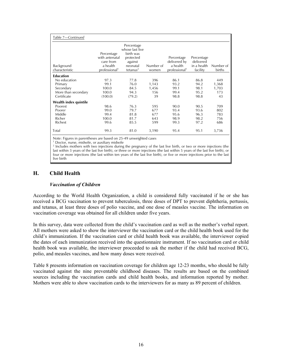| Table 7—Continued            |                                                                                    |                                                                                                        |                    |                                                                     |                                                    |                     |
|------------------------------|------------------------------------------------------------------------------------|--------------------------------------------------------------------------------------------------------|--------------------|---------------------------------------------------------------------|----------------------------------------------------|---------------------|
| Background<br>characteristic | Percentage<br>with antenatal<br>care from<br>a health<br>professional <sup>1</sup> | Percentage<br>whose last live<br>birth was<br>protected<br>against<br>neonatal<br>tetanus <sup>2</sup> | Number of<br>women | Percentage<br>delivered by<br>a health<br>professional <sup>1</sup> | Percentage<br>delivered<br>in a health<br>facility | Number of<br>births |
| <b>Education</b>             |                                                                                    |                                                                                                        |                    |                                                                     |                                                    |                     |
| No education                 | 97.3                                                                               | 77.8                                                                                                   | 396                | 86.1                                                                | 86.8                                               | 449                 |
| Primary                      | 99.1                                                                               | 76.0                                                                                                   | 1,143              | 93.2                                                                | 94.2                                               | 1,368               |
| Secondary                    | 100.0                                                                              | 84.5                                                                                                   | 1,456              | 99.1                                                                | 98.1                                               | 1,703               |
| More than secondary          | 100.0                                                                              | 94.3                                                                                                   | 156                | 99.4                                                                | 95.2                                               | 173                 |
| Certificate                  | (100.0)                                                                            | (79.2)                                                                                                 | 39                 | 98.8                                                                | 98.8                                               | 43                  |
| Wealth index quintile        |                                                                                    |                                                                                                        |                    |                                                                     |                                                    |                     |
| Poorest                      | 98.6                                                                               | 76.3                                                                                                   | 595                | 90.0                                                                | 90.5                                               | 709                 |
| Poorer                       | 99.0                                                                               | 79.7                                                                                                   | 677                | 93.4                                                                | 93.6                                               | 802                 |
| Middle                       | 99.4                                                                               | 81.8                                                                                                   | 677                | 95.6                                                                | 96.3                                               | 783                 |
| Richer                       | 100.0                                                                              | 81.7                                                                                                   | 643                | 98.9                                                                | 98.2                                               | 756                 |
| Richest                      | 99.6                                                                               | 85.5                                                                                                   | 599                | 99.3                                                                | 97.2                                               | 686                 |
| Total                        | 99.3                                                                               | 81.0                                                                                                   | 3,190              | 95.4                                                                | 95.1                                               | 3,736               |

Note: Figures in parentheses are based on 25-49 unweighted cases

1 Doctor, nurse, midwife, or auxiliary midwife

<sup>2</sup> Includes mothers with two injections during the pregnancy of the last live birth, or two or more injections (the last within 3 years of the last live birth), or three or more injections (the last within 5 years of the last live birth), or four or more injections (the last within ten years of the last live birth), or five or more injections prior to the last live birth

# **H. Child Health**

### *Vaccination of Children*

According to the World Health Organization, a child is considered fully vaccinated if he or she has received a BCG vaccination to prevent tuberculosis, three doses of DPT to prevent diphtheria, pertussis, and tetanus, at least three doses of polio vaccine, and one dose of measles vaccine. The information on vaccination coverage was obtained for all children under five years.

In this survey, data were collected from the child's vaccination card as well as the mother's verbal report. All mothers were asked to show the interviewer the vaccination card or the child health book used for the child's immunization. If the vaccination card or child health book was available, the interviewer copied the dates of each immunization received into the questionnaire instrument. If no vaccination card or child health book was available, the interviewer proceeded to ask the mother if the child had received BCG, polio, and measles vaccines, and how many doses were received.

Table 8 presents information on vaccination coverage for children age 12-23 months, who should be fully vaccinated against the nine preventable childhood diseases. The results are based on the combined sources including the vaccination cards and child health books, and information reported by mother. Mothers were able to show vaccination cards to the interviewers for as many as 89 percent of children.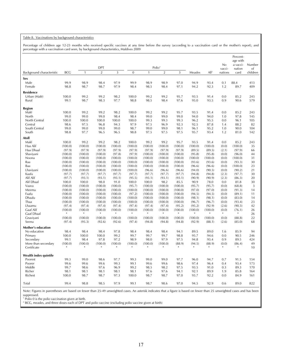#### Table 8. Vaccinations by background characteristics

Percentage of children age 12-23 months who received specific vaccines at any time before the survey (according to a vaccination card or the mother's report), and percentage with a vaccination card seen, by background characteristics, Maldives 2009

|                                    |                   |                   |                              |                   |                   |                   |                                      |                   |              |                   | No.               | Percent-<br>age with<br>a vacci- | Number         |
|------------------------------------|-------------------|-------------------|------------------------------|-------------------|-------------------|-------------------|--------------------------------------|-------------------|--------------|-------------------|-------------------|----------------------------------|----------------|
| Background characteristic          | <b>BCC</b>        | $\mathbf{1}$      | <b>DPT</b><br>$\overline{2}$ | 3                 | $\overline{0}$    | $\mathbf{1}$      | Polio <sup>1</sup><br>$\overline{2}$ | 3                 | Measles      | All <sup>2</sup>  | vacci-<br>nations | nation<br>card                   | of<br>children |
| Sex                                |                   |                   |                              |                   |                   |                   |                                      |                   |              |                   |                   |                                  |                |
| Male                               | 99.9              | 98.9              | 98.4                         | 97.9              | 99.9              | 98.9              | 98.9                                 | 97.0              | 94.9         | 93.4              | 0.1               | 88.4                             | 413            |
| Female                             | 98.8              | 98.7              | 98.7                         | 97.9              | 98.4              | 98.5              | 98.4                                 | 97.1              | 94.2         | 92.3              | 1.2               | 89.7                             | 409            |
|                                    |                   |                   |                              |                   |                   |                   |                                      |                   |              |                   |                   |                                  |                |
| <b>Residence</b>                   |                   |                   |                              |                   |                   |                   |                                      |                   |              |                   |                   |                                  |                |
| Urban (Malé)                       | 100.0             | 99.2              | 99.2                         | 98.2              | 100.0             | 99.2              | 99.2                                 | 95.7              | 93.5         | 91.4              | 0.0               | 85.2                             | 243            |
| Rural                              | 99.1              | 98.7              | 98.3                         | 97.7              | 98.8              | 98.5              | 98.4                                 | 97.6              | 95.0         | 93.5              | 0.9               | 90.6                             | 579            |
| Region                             |                   |                   |                              |                   |                   |                   |                                      |                   |              |                   |                   |                                  |                |
| Malé                               | 100.0             | 99.2              | 99.2                         | 98.2              | 100.0             | 99.2              | 99.2                                 | 95.7              | 93.5         | 91.4              | 0.0               | 85.2                             | 243            |
| North                              | 99.0              | 99.0              | 99.0                         | 98.4              | 98.4              | 99.0              | 99.0                                 | 99.0              | 94.0         | 94.0              | 1.0               | 97.8                             | 145            |
| North Central                      | 100.0             | 100.0             | 100.0                        | 100.0             | 100.0             | 99.3              | 99.3                                 | 99.3              | 96.2         | 95.5              | 0.0               | 96.1                             | 105            |
| Central                            | 98.6              | 97.5              | 96.8                         | 94.3              | 97.9              | 97.5              | 96.9                                 | 92.3              | 92.5         | 87.8              | 1.4               | 88.2                             | 82             |
| South Central                      | 99.0              | 99.0              | 99.0                         | 99.0              | 98.7              | 99.0              | 99.0                                 | 98.1              | 96.1         | 95.2              | 1.0               | 90.0                             | 104            |
| South                              | 98.8              | 97.7              | 96.5                         | 96.5              | 98.8              | 97.5              | 97.5                                 | 97.5              | 95.7         | 93.4              | 1.2               | 81.0                             | 142            |
| Atoll                              |                   |                   |                              |                   |                   |                   |                                      |                   |              |                   |                   |                                  |                |
| Malé                               | 100.0             | 99.2              | 99.2                         | 98.2              | 100.0             | 99.2              | 99.2                                 | 95.7              | 93.5         | 91.4              | 0.0               | 85.2                             | 243            |
| Haa Alif                           | (100.0)           | (100.0)           | (100.0)                      | (100.0)           | (100.0)           | (100.0)           | (100.0)                              | (100.0)           | (100.0)      | (100.0)           | (0.0)             | (100.0)                          | 35             |
| Haa Dhaal                          | (97.9)            | (97.9)            | (97.9)                       | (97.9)            | (97.9)            | (97.9)            | (97.9)                               | (97.9)            | (89.5)       | (89.5)            | (2.1)             | (97.9)                           | 66             |
| Shaviyani                          | (100.0)           | (100.0)           | (100.0)                      | (97.8)            | (97.9)            | (100.0)           | (100.0)                              | (100.0)           | (95.8)       | (95.8)            | (0.0)             | (96.0)                           | 44             |
| Noonu                              | (100.0)           | (100.0)           | (100.0)                      | (100.0)           | (100.0)           | (100.0)           | (100.0)                              | (100.0)           | (100.0)      | (100.0)           | (0.0)             | (100.0)                          | 31             |
| Raa                                | (100.0)           | (100.0)           | (100.0)                      | (100.0)           | (100.0)           | (100.0)           | (100.0)                              | (100.0)           | (93.6)       | (93.6)            | (0.0)             | (93.3)                           | 30             |
| Baa                                | (100.0)           | (100.0)           | (100.0)                      | (100.0)           | (100.0)           | (100.0)           | (100.0)                              | (100.0)           | (96.6)       | (96.6)            | (0.0)             | (100.0)                          | 23             |
| Lhaviyani                          | (100.0)           | (100.0)           | (100.0)                      | (100.0)           | (100.0)           | (96.6)            | (96.6)                               | (96.6)            | (94.0)       | (90.5)            | (0.0)             | (90.2)                           | 21             |
| Kaafu                              | (97.7)            | (97.7)            | (97.7)                       | (97.7)            | (97.7)            | (97.7)            | (97.7)                               | (97.7)            | (94.8)       | (94.8)            | (2.3)             | (97.7)                           | 30             |
| Alif Alif                          | (97.7)            | (93.1)            | (93.1)                       | (93.1)            | (95.5)            | (93.1)            | (93.1)                               | (93.1)            | (90.9)       | (90.9)            | (2.3)             | (86.3)                           | 20             |
| Alif Dhaal                         | 100.0             | 100.0             | 98.0                         | 91.0              | 100.0             | 100.0             | 98.2                                 | 85.5              | 90.9         | 78.0              | 0.0               | 81.8                             | 30             |
| Vaavu                              | (100.0)           | (100.0)           | (100.0)                      | (100.0)           | (95.7)            | (100.0)           | (100.0)                              | (100.0)           | (95.7)       | (95.7)            | (0.0)             | (68.8)                           | $\overline{3}$ |
| Meemu                              | (100.0)           | (100.0)           | (100.0)                      | (100.0)           | (100.0)           | (100.0)           | (100.0)                              | (100.0)           | (97.0)       | (97.0)            | (0.0)             | (91.3)                           | 14             |
| Faafu                              | (100.0)           | (100.0)           | (100.0)                      | (100.0)           | (97.2)            | (100.0)           | (100.0)                              | (100.0)           | (94.5)       | (94.5)            | (0.0)             | (89.1)                           | 11             |
| Dhaalu                             | (100.0)           | (100.0)           | (100.0)                      | (100.0)           | (100.0)           | (100.0)           | (100.0)                              | (100.0)           | (98.1)       | (98.1)            | (0.0)             | (83.0)                           | 14             |
| Thaa                               | (100.0)           | (100.0)           | (100.0)                      | (100.0)           | (100.0)           | (100.0)           | (100.0)                              | (100.0)           | (96.7)       | (96.7)            | (0.0)             | (93.4)                           | 23             |
| Lhaamu                             | (97.4)            | (97.4)            | (97.4)                       | (97.4)            | (97.4)            | (97.4)            | (97.4)                               | (95.2)            | (95.2)       | (92.9)            | (2.6)             | (90.3)                           | 42             |
| Gaaf Alif                          | (100.0)<br>$\ast$ | (100.0)<br>$\ast$ | (100.0)<br>$\ast$            | (100.0)<br>$\ast$ | (100.0)<br>$*$    | (100.0)<br>$\ast$ | (100.0)<br>*                         | (100.0)<br>$\ast$ | (100.0)<br>* | (100.0)<br>$\ast$ | (0.0)<br>$\ast$   | (76.1)<br>$\ast$                 | 26             |
| Gaaf Dhaal<br>Gnaviyani            | (100.0)           | (100.0)           | (100.0)                      | (100.0)           | (100.0)           | (100.0)           | (100.0)                              | (100.0)           | (100.0)      | (100.0)           | (0.0)             | (88.8)                           | 26<br>22       |
| Seenu                              | (97.4)            | (95.3)            | (92.6)                       | (92.6)            | (97.4)            | (94.8)            | (94.8)                               | (94.8)            | (92.9)       | (88.1)            | (2.6)             | (85.0)                           | 68             |
|                                    |                   |                   |                              |                   |                   |                   |                                      |                   |              |                   |                   |                                  |                |
| <b>Mother's education</b>          |                   |                   |                              |                   |                   |                   |                                      |                   |              |                   |                   |                                  |                |
| No education                       | 98.4              | 98.4              | 98.4                         | 97.8              | 98.4              | 98.4              | 98.4                                 | 94.1              | 89.5         | 89.0              | 1.6               | 85.9                             | 94             |
| Primary                            | 100.0             | 100.0             | 100.0                        | 99.2              | 99.7              | 99.7              | 99.7                                 | 98.8              | 95.7         | 94.6              | 0.0               | 90.5                             | 246            |
| Secondary                          | 99.1              | 98.4              | 97.8                         | 97.2              | 98.9              | 98.0              | 97.9                                 | 97.5              | 94.8         | 93.4              | 0.9               | 89.5                             | 424            |
| More than secondary<br>Certificate | (100.0)<br>$\ast$ | (100.0)<br>$\ast$ | (100.0)<br>$\ast$            | (100.0)<br>$\ast$ | (100.0)<br>$\ast$ | (100.0)<br>$\ast$ | (100.0)<br>$\ast$                    | (88.9)<br>$\ast$  | (94.5)<br>*  | (88.9)<br>$\ast$  | (0.0)<br>*        | (86.4)<br>$\ast$                 | 49<br>10       |
|                                    |                   |                   |                              |                   |                   |                   |                                      |                   |              |                   |                   |                                  |                |
| Wealth index quintile              |                   | 99.0              | 98.6                         | 97.7              | 99.3              | 99.0              | 99.0                                 | 97.7              |              | 94.7              | 0.7               | 91.5                             |                |
| Poorest<br>Poorer                  | 99.3<br>99.6      | 99.6              | 99.6                         | 99.3              | 99.1              | 99.6              | 99.6                                 | 98.6              | 96.0<br>97.4 | 96.4              | 0.4               | 93.4                             | 154<br>173     |
| Middle                             | 99.7              | 98.6              | 97.6                         | 96.9              | 99.2              | 98.5              | 98.2                                 | 97.5              | 93.5         | 91.0              | 0.3               | 89.3                             | 170            |
| Richer                             | 98.1              | 98.1              | 98.1                         | 98.1              | 98.1              | 97.6              | 97.6                                 | 94.1              | 92.1         | 89.9              | 1.9               | 85.8                             | 164            |
| Richest                            | 100.0             | 98.7              | 98.7                         | 97.3              | 100.0             | 98.7              | 98.7                                 | 97.0              | 93.7         | 92.2              | 0.0               | 84.9                             | 161            |
|                                    |                   |                   |                              |                   |                   |                   |                                      |                   |              |                   |                   |                                  |                |
| Total                              | 99.4              | 98.8              | 98.5                         | 97.9              | 99.1              | 98.7              | 98.6                                 | 97.0              | 94.5         | 92.9              | 0.6               | 89.0                             | 822            |

Note: Figures in parentheses are based on fewer than 25-49 unweighted cases. An asterisk indicates that a figure is based on fewer than 25 unweighted cases and has been

suppressed.<br><sup>1</sup> Polio 0 is the polio vaccination given at birth.<br><sup>2</sup> BCG, measles, and three doses each of DPT and polio vaccine (excluding polio vaccine given at birth)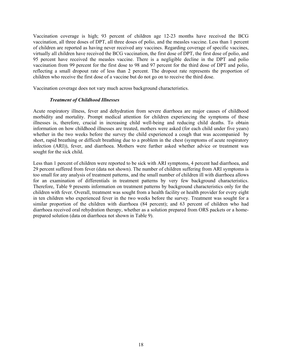Vaccination coverage is high; 93 percent of children age 12-23 months have received the BCG vaccination, all three doses of DPT, all three doses of polio, and the measles vaccine. Less than 1 percent of children are reported as having never received any vaccines. Regarding coverage of specific vaccines, virtually all children have received the BCG vaccination, the first dose of DPT, the first dose of polio, and 95 percent have received the measles vaccine. There is a negligible decline in the DPT and polio vaccination from 99 percent for the first dose to 98 and 97 percent for the third dose of DPT and polio, reflecting a small dropout rate of less than 2 percent. The dropout rate represents the proportion of children who receive the first dose of a vaccine but do not go on to receive the third dose.

Vaccination coverage does not vary much across background characteristics.

### *Treatment of Childhood Illnesses*

Acute respiratory illness, fever and dehydration from severe diarrhoea are major causes of childhood morbidity and mortality. Prompt medical attention for children experiencing the symptoms of these illnesses is, therefore, crucial in increasing child well-being and reducing child deaths. To obtain information on how childhood illnesses are treated, mothers were asked (for each child under five years) whether in the two weeks before the survey the child experienced a cough that was accompanied by short, rapid breathing or difficult breathing due to a problem in the chest (symptoms of acute respiratory infection (ARI)), fever, and diarrhoea. Mothers were further asked whether advice or treatment was sought for the sick child.

Less than 1 percent of children were reported to be sick with ARI symptoms, 4 percent had diarrhoea, and 29 percent suffered from fever (data not shown). The number of children suffering from ARI symptoms is too small for any analysis of treatment patterns, and the small number of children ill with diarrhoea allows for an examination of differentials in treatment patterns by very few background characteristics. Therefore, Table 9 presents information on treatment patterns by background characteristics only for the children with fever. Overall, treatment was sought from a health facility or health provider for every eight in ten children who experienced fever in the two weeks before the survey. Treatment was sought for a similar proportion of the children with diarrhoea (84 percent); and 63 percent of children who had diarrhoea received oral rehydration therapy, whether as a solution prepared from ORS packets or a homeprepared solution (data on diarrhoea not shown in Table 9).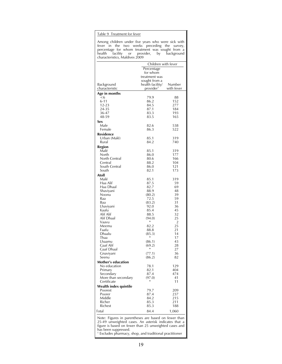#### Table 9 Treatment for fever

Among children under five years who were sick with fever in the two weeks preceding the survey, percentage for whom treatment was sought from a health facility or provider, by background characteristics, Maldives 2009

|                                  | Children with fever                       |                |
|----------------------------------|-------------------------------------------|----------------|
|                                  | Percentage                                |                |
|                                  | for whom                                  |                |
|                                  | treatment was                             |                |
|                                  | sought from a                             | Number         |
| Background<br>characteristic     | health facility/<br>provider <sup>1</sup> | with fever     |
| Age in months                    |                                           |                |
| <6                               | 79.9                                      | 88             |
| $6 - 11$                         | 86.2                                      | 152            |
| 12-23                            | 84.5                                      | 277            |
| 24-35                            | 87.1                                      | 184<br>193     |
| 36-47<br>48-59                   | 83.3<br>83.5                              | 165            |
| Sex                              |                                           |                |
| Male                             | 82.6                                      | 538            |
| Female                           | 86.3                                      | 522            |
| Residence                        |                                           |                |
| Urban (Malé)                     | 85.1                                      | 319            |
| Rural                            | 84.2                                      | 740            |
| Region                           |                                           |                |
| Malé                             | 85.1                                      | 319            |
| North                            | 86.0                                      | 177            |
| North Central                    | 80.6                                      | 166            |
| Central<br>South Central         | 88.2                                      | 104            |
| South                            | 86.0<br>82.1                              | 121<br>173     |
| Atoll                            |                                           |                |
| Malé                             | 85.1                                      | 319            |
| Haa Alif                         | 87.5                                      | 59             |
| Haa Dhaal                        | 82.7                                      | 69             |
| Shaviyani                        | 88.9                                      | 48             |
| Noonu                            | (80.2)                                    | 39             |
| Raa                              | 72.5                                      | 59             |
| Baa                              | (83.2)                                    | 31             |
| Lhaviyani<br>Kaafu               | 92.0<br>85.4                              | 36<br>45       |
| Alif Alif                        | 88.5                                      | 32             |
| Alif Dhaal                       | (94.0)                                    | 25             |
| Vaavu                            | *                                         | $\overline{2}$ |
| Meemu                            | 82.2                                      | 25             |
| Faafu                            | 88.8                                      | 21             |
| Dhaalu                           | (85.3)<br>*                               | 14             |
| Thaa<br>Lhaamu                   | (86.1)                                    | 17<br>43       |
| Gaaf Alif                        | (69.2)                                    | 28             |
| Gaaf Dhaal                       | *                                         | 27             |
| Gnaviyani                        | (77.1)                                    | 36             |
| Seenu                            | (86.2)                                    | 82             |
| Mother's education               |                                           |                |
| No education                     | 78.1                                      | 129            |
| Primary                          | 82.1                                      | 404            |
| Secondary<br>More than secondary | 87.4<br>(97.0)                            | 474<br>41      |
| Certificate                      | *                                         | 11             |
| Wealth index quintile            |                                           |                |
| Poorest                          | 79.7                                      | 209            |
| Poorer                           | 87.4                                      | 237            |
| Middle<br>Richer                 | 84.2<br>85.3                              | 215<br>211     |
| Richest                          | 85.3                                      | 188            |
| Total                            | 84.4                                      | 1,060          |
|                                  |                                           |                |

Note: Figures in parentheses are based on fewer than 25-49 unweighted cases. An asterisk indicates that a figure is based on fewer than 25 unweighted cases and has been suppressed. 1 Excludes pharmacy, shop, and traditional practitioner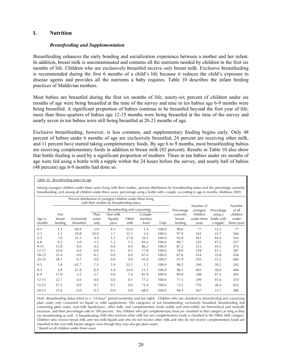# **I. Nutrition**

### *Breastfeeding and Supplementation*

Breastfeeding enhances the early bonding and socialization experience between a mother and her infant. In addition, breast milk is uncontaminated and contains all the nutrients needed by children in the first six months of life. Children who are exclusively breastfed receive *only* breast milk. Exclusive breastfeeding is recommended during the first 6 months of a child's life because it reduces the child's exposure to disease agents and provides all the nutrients a baby requires. Table 10 describes the infant feeding practices of Maldivian mothers.

Most babies are breastfed during the first six months of life; ninety-six percent of children under six months of age were being breastfed at the time of the survey and nine in ten babies age 6-9 months were being breastfed. A significant proportion of babies continue to be breastfed beyond the first year of life; more than three-quarters of babies age 12-15 months were being breastfed at the time of the survey and nearly seven in ten babies were still being breastfed at 20-23 months of age.

Exclusive breastfeeding, however, is less common, and supplementary feeding begins early. Only 48 percent of babies under 6 months of age are exclusively breastfed; 24 percent are receiving other milk, and 11 percent have started taking complementary foods. By age 6 to 9 months, most breastfeeding babies are receiving complementary foods in addition to breast milk (82 percent). Results in Table 10 also show that bottle feeding is used by a significant proportion of mothers. Three in ten babies under six months of age were fed using a bottle with a nipple within the 24 hours before the survey, and nearly half of babies (48 percent) age 6-9 months had done so.

|                  |                            | Percent distribution of youngest children under three living |                        | with their mother by breastfeeding status |               |                            |       |                                 |                                  |                                                 |                                  |
|------------------|----------------------------|--------------------------------------------------------------|------------------------|-------------------------------------------|---------------|----------------------------|-------|---------------------------------|----------------------------------|-------------------------------------------------|----------------------------------|
|                  |                            |                                                              |                        | Breastfeeding and consuming:              |               |                            |       | Percentage                      | Number of<br>youngest            | Percentage                                      | Number<br>of all                 |
| Age in<br>months | Not.<br>breast-<br>feeding | Exclusively<br>breastfed                                     | Plain<br>water<br>only | Non-milk<br>liquids/<br>juice             | Other<br>milk | Comple-<br>mentary<br>food | Total | currently<br>breast-<br>feeding | children<br>under three<br>years | using a<br>bottle with<br>a nipple <sup>1</sup> | children<br>under<br>three years |
| $0 - 1$          | 1.4                        | 68.9                                                         | 2.0                    | 4.3                                       | 22.0          | 1.4                        | 100.0 | 98.6                            | 77                               | 12.5                                            | 77                               |
| $2 - 3$          | 2.1                        | 59.8                                                         | 10.0                   | 3.7                                       | 22.1          | 2.4                        | 100.0 | 97.9                            | 163                              | 23.7                                            | 166                              |
| $4 - 5$          | 7.0                        | 25.5                                                         | 9.9                    | 5.3                                       | 27.8          | 24.5                       | 100.0 | 93.0                            | 161                              | 44.4                                            | 164                              |
| $6 - 8$          | 9.3                        | 3.0                                                          | 3.5                    | 1.2                                       | 1.5           | 81.6                       | 100.0 | 90.7                            | 225                              | 47.2                                            | 227                              |
| $9 - 11$         | 12.8                       | 0.0                                                          | 0.5                    | 0.0                                       | 0.4           | 86.3                       | 100.0 | 87.2                            | 213                              | 44.5                                            | 214                              |
| $12 - 17$        | 22.0                       | 0.0                                                          | 0.0                    | 0.1                                       | 0.1           | 77.8                       | 100.0 | 78.0                            | 378                              | 41.3                                            | 387                              |
| $18 - 23$        | 32.4                       | 0.0                                                          | 0.2                    | 0.0                                       | 0.0           | 67.4                       | 100.0 | 67.6                            | 414                              | 35.8                                            | 436                              |
| 24-35            | 58.1                       | 0.1                                                          | 0.0                    | 0.0                                       | 0.0           | 41.8                       | 100.0 | 41.9                            | 593                              | 33.5                                            | 686                              |
| $0 - 3$          | 1.8                        | 62.7                                                         | 7.5                    | 3.9                                       | 22.1          | 2.1                        | 100.0 | 98.2                            | 240                              | 20.2                                            | 242                              |
| $0 - 5$          | 3.9                        | 47.8                                                         | 8.4                    | 4.4                                       | 24.4          | 11.1                       | 100.0 | 96.1                            | 401                              | 30.0                                            | 406                              |
| $6-9$            | 11.0                       | 2.2                                                          | 2.7                    | 0.9                                       | 1.4           | 81.8                       | 100.0 | 89.0                            | 298                              | 47.5                                            | 301                              |
| $12 - 15$        | 22.7                       | 0.0                                                          | 0.0                    | 0.0                                       | 0.1           | 77.2                       | 100.0 | 77.3                            | 249                              | 41.6                                            | 254                              |
| $12 - 23$        | 27.5                       | 0.0                                                          | 0.1                    | 0.1                                       | 0.0           | 72.4                       | 100.0 | 72.5                            | 792                              | 38.4                                            | 822                              |
| $20 - 23$        | 31.6                       | 0.0                                                          | 0.3                    | 0.0                                       | 0.0           | 68.0                       | 100.0 | 68.4                            | 267                              | 33.7                                            | 286                              |

Among youngest children under three years living with their mother, percent distribution by breastfeeding status and the percentage currently

Note: Breastfeeding status refers to a "24-hour" period (yesterday and last night). Children who are classified as *breastfeeding and consuming plain water only* consumed no liquid or solid supplements. The categories of not breastfeeding, exclusively breastfed, breastfeeding and consuming plain water, non-milk liquids/juice, other milk, and complementary foods (solids and semi-solids) are hierarchical and mutually exclusive, and their percentages add to 100 percent. Any children who get complementary food are classified in that category as long as they are breastfeeding as well. A breastfeeding child who receives other milk but not complementary foods is classified in the Other Milk category. Children who receive breast milk and non-milk liquids and who do not receive other milk and who do not receive complementary foods are classified in the non-milk liquid category even though they may also get plain water.

1 Based on all children under three years

Table 10. Breastfeeding status by age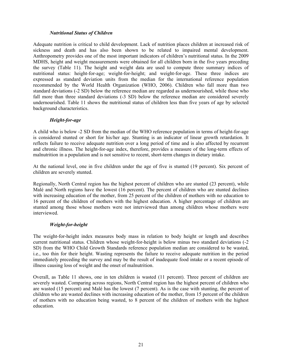## *Nutritional Status of Children*

Adequate nutrition is critical to child development. Lack of nutrition places children at increased risk of sickness and death and has also been shown to be related to impaired mental development. Anthropometry provides one of the most important indicators of children's nutritional status. In the 2009 MDHS, height and weight measurements were obtained for all children born in the five years preceding the survey (Table 11). The height and weight data are used to compute three summary indices of nutritional status: height-for-age; weight-for-height; and weight-for-age. These three indices are expressed as standard deviation units from the median for the international reference population recommended by the World Health Organization (WHO, 2006). Children who fall more than two standard deviations (-2 SD) below the reference median are regarded as undernourished, while those who fall more than three standard deviations (-3 SD) below the reference median are considered severely undernourished. Table 11 shows the nutritional status of children less than five years of age by selected background characteristics.

### *Height-for-age*

A child who is below -2 SD from the median of the WHO reference population in terms of height-for-age is considered stunted or short for his/her age. Stunting is an indicator of linear growth retardation. It reflects failure to receive adequate nutrition over a long period of time and is also affected by recurrent and chronic illness. The height-for-age index, therefore, provides a measure of the long-term effects of malnutrition in a population and is not sensitive to recent, short-term changes in dietary intake.

At the national level, one in five children under the age of five is stunted (19 percent). Six percent of children are severely stunted.

Regionally, North Central region has the highest percent of children who are stunted (23 percent), while Malé and North regions have the lowest (16 percent). The percent of children who are stunted declines with increasing education of the mother, from 25 percent of the children of mothers with no education to 16 percent of the children of mothers with the highest education. A higher percentage of children are stunted among those whose mothers were not interviewed than among children whose mothers were interviewed.

# *Weight-for-height*

The weight-for-height index measures body mass in relation to body height or length and describes current nutritional status. Children whose weight-for-height is below minus two standard deviations (-2 SD) from the WHO Child Growth Standards reference population median are considered to be wasted, i.e., too thin for their height. Wasting represents the failure to receive adequate nutrition in the period immediately preceding the survey and may be the result of inadequate food intake or a recent episode of illness causing loss of weight and the onset of malnutrition.

Overall, as Table 11 shows, one in ten children is wasted (11 percent). Three percent of children are severely wasted. Comparing across regions, North Central region has the highest percent of children who are wasted (15 percent) and Malé has the lowest (7 percent). As is the case with stunting, the percent of children who are wasted declines with increasing education of the mother, from 15 percent of the children of mothers with no education being wasted, to 8 percent of the children of mothers with the highest education.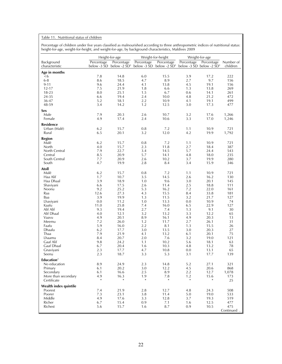#### Table 11. Nutritional status of children

Percentage of children under five years classified as malnourished according to three anthropometric indices of nutritional status: height-for-age, weight-for-height, and weight-for-age, by background characteristics, Maldives 2009

|                                    |               | Height-for-age                                      |               | Weight-for-height                           |               | Weight-for-age                              |             |
|------------------------------------|---------------|-----------------------------------------------------|---------------|---------------------------------------------|---------------|---------------------------------------------|-------------|
| Background                         | Percentage    | Percentage                                          | Percentage    | Percentage                                  | Percentage    | Percentage                                  | Number of   |
| characteristic                     |               | below -3 $\overline{5}D$ below -2 $\overline{5}D^1$ |               | below -3 $\text{SD}$ below -2 $\text{SD}^1$ |               | below -3 $\text{SD}$ below -2 $\text{SD}^1$ | children    |
| Age in months                      |               |                                                     |               |                                             |               |                                             |             |
| $6$                                | 7.8           | 14.8                                                | 6.0           | 15.5                                        | 3.9           | 17.2                                        | 222         |
| $6 - 8$<br>$9 - 11$                | 8.6<br>9.6    | 18.5<br>24.4                                        | 4.7<br>4.1    | 8.9<br>13.8                                 | 2.7<br>4.5    | 9.7<br>19.1                                 | 156<br>156  |
| 12-17                              | 7.5           | 21.9                                                | 1.8           | 6.6                                         | 1.3           | 13.8                                        | 269         |
| 18-23                              | 8.0           | 25.1                                                | 1.5           | 6.7                                         | 0.6           | 14.1                                        | 261         |
| 24-35                              | 6.6           | 19.4                                                | 2.4           | 10.0                                        | 4.8           | 21.2                                        | 472         |
| 36-47                              | 5.2           | 18.1                                                | 2.2           | 10.9                                        | 4.1           | 19.1                                        | 499         |
| 48-59                              | 3.4           | 14.2                                                | 1.2           | 12.5                                        | 3.0           | 17.3                                        | 477         |
| Sex                                |               |                                                     |               |                                             |               |                                             |             |
| Male                               | 7.9           | 20.3                                                | 2.6           | 10.7                                        | 3.2           | 17.6                                        | 1,266       |
| Female                             | 4.9           | 17.4                                                | 2.4           | 10.6                                        | 3.3           | 17.0                                        | 1,246       |
| <b>Residence</b>                   |               |                                                     |               |                                             |               |                                             |             |
| Urban (Malé)                       | 6.2           | 15.7                                                | 0.8           | 7.2                                         | 1.1           | 10.9                                        | 721         |
| Rural                              | 6.5           | 20.1                                                | 3.2           | 12.0                                        | 4.2           | 19.9                                        | 1,792       |
| Region                             |               |                                                     |               |                                             |               |                                             |             |
| Malé                               | 6.2           | 15.7                                                | 0.8           | 7.2                                         | 1.1           | 10.9                                        | 721         |
| North                              | 4.0           | 15.7                                                | 2.3           | 11.8                                        | 2.7           | 18.4                                        | 387         |
| North Central                      | 7.9           | 22.7                                                | 3.4           | 14.5                                        | 5.7           | 24.4                                        | 543         |
| Central                            | 8.5           | 20.9                                                | 5.7           | 14.1                                        | 4.8           | 18.0                                        | 235         |
| South Central                      | 7.7           | 20.9                                                | 2.6           | 10.2                                        | 3.7           | 19.9                                        | 280         |
| South                              | 4.7           | 19.9                                                | 2.8           | 8.4                                         | 3.4           | 15.9                                        | 346         |
| Atoll                              |               |                                                     |               |                                             |               |                                             |             |
| Malé                               | 6.2           | 15.7                                                | 0.8           | 7.2                                         | 1.1           | 10.9                                        | 721         |
| Haa Alif                           | 1.7<br>3.9    | 10.7                                                | 3.5           | 14.5<br>9.6                                 | 2.6<br>3.0    | 16.2                                        | 130         |
| Haa Dhaal<br>Shaviyani             | 6.6           | 18.9<br>17.5                                        | 1.0<br>2.6    | 11.4                                        | 2.5           | 20.1<br>18.8                                | 145<br>111  |
| Noonu                              | 9.2           | 25.2                                                | 5.3           | 16.2                                        | 7.2           | 22.0                                        | 161         |
| Raa                                | 12.6          | 27.3                                                | 4.3           | 15.5                                        | 8.4           | 33.8                                        | 181         |
| Baa                                | 3.9           | 19.9                                                | 1.3           | 11.5                                        | 3.2           | 21.7                                        | 127         |
| Lhaviyani                          | 0.0           | 11.2                                                | 1.0           | 13.3                                        | 0.0           | 10.9                                        | 74          |
| Kaafu                              | 11.0          | 25.8                                                | 7.4           | 16.0                                        | 6.5           | 22.9                                        | 127         |
| Alif Alif                          | 9.3           | 19.4                                                | 2.7           | 7.4                                         | 1.3           | 9.1                                         | 30          |
| Alif Dhaal                         | 4.0           | 12.1                                                | 3.2           | 13.2                                        | 3.3           | 12.2                                        | 65          |
| Vaavu                              | 4.9           | 20.1                                                | 8.9           | 16.1                                        | 4.9           | 20.3                                        | 13          |
| Meemu                              | 7.2           | 26.0                                                | 1.2           | 11.7                                        | 2.7           | 26.1                                        | 31          |
| Faafu<br>Dhaalu                    | 5.9<br>6.2    | 16.0<br>17.7                                        | 2.2<br>3.0    | 8.1<br>13.5                                 | 1.3<br>3.0    | 15.5<br>20.3                                | 26<br>27    |
| Thaa                               | 7.9           | 21.9                                                | 4.1           | 13.2                                        | 6.1           | 20.1                                        | 75          |
| Lhaamu                             | 8.4           | 20.7                                                | 2.0           | 7.6                                         | 3.2           | 19.0                                        | 121         |
| Gaaf Alif                          | 9.8           | 24.2                                                | 1.1           | 10.2                                        | 5.6           | 18.1                                        | 63          |
| Gaaf Dhaal                         | 6.7           | 20.4                                                | 1.6           | 10.3                                        | 4.8           | 13.2                                        | 78          |
| Gnaviyani                          | 2.3           | 17.7                                                | 4.7           | 10.8                                        | 0.0           | 13.1                                        | 65          |
| Seenu                              | 2.3           | 18.7                                                | 3.3           | 5.3                                         | 3.1           | 17.7                                        | 139         |
| Education $2$                      |               |                                                     |               |                                             |               |                                             |             |
| No education                       | 8.9           | 24.9                                                | 2.3           | 14.8                                        | 5.2           | 27.1                                        | 321         |
| Primary                            | 6.1           | 20.2                                                | 3.0           | 12.2                                        | 4.5           | 20.6                                        | 868         |
| Secondary                          | 6.1           | 16.6                                                | 2.5           | 8.9                                         | 2.2           | 12.7                                        | 1,078       |
| More than secondary<br>Certificate | 4.9<br>$\ast$ | 16.3<br>$\ast$                                      | 1.9<br>$\ast$ | 7.8<br>$\ast$                               | 1.2<br>$\ast$ | 15.6<br>$\ast$                              | 173<br>25   |
|                                    |               |                                                     |               |                                             |               |                                             |             |
| Wealth index quintile<br>Poorest   | 7.4           | 21.9                                                | 2.8           | 12.7                                        | 4.8           | 24.3                                        | 508         |
| Poorer                             | 7.3           | 23.1                                                | 3.8           | 11.4                                        | 5.0           | 19.0                                        | 533         |
| Middle                             | 4.9           | 17.6                                                | 3.3           | 12.8                                        | 3.7           | 19.3                                        | 519         |
| Richer                             | 6.7           | 15.4                                                | 0.9           | 7.1                                         | 1.6           | 12.5                                        | 477         |
| Richest                            | 5.6           | 15.7                                                | 1.6           | 8.7                                         | 0.9           | 10.5                                        | 475         |
|                                    |               |                                                     |               |                                             |               |                                             | Continued . |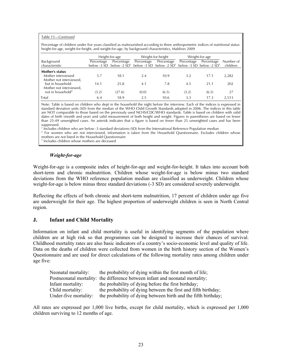#### Table 11—*Continued*

Percentage of children under five years classified as malnourished according to three anthropometric indices of nutritional status: height-for-age, weight-for-height, and weight-for-age, by background characteristics, Maldives 2009

|                                                                  |                             | Height-for-age               |            | Weight-for-height                                                   |            | Weight-for-age |                       |
|------------------------------------------------------------------|-----------------------------|------------------------------|------------|---------------------------------------------------------------------|------------|----------------|-----------------------|
| Background<br>characteristic                                     | Percentage<br>below -3 SD - | Percentage<br>below -2 $SD1$ | Percentage | Percentage<br>below -3 SD below -2 $SD1$ below -3 SD below -2 $SD1$ | Percentage | Percentage     | Number of<br>children |
| Mother's status<br>Mother interviewed<br>Mother not interviewed, | 5.7                         | 18.1                         | 2.4        | 10.9                                                                | 3.2        | 17.1           | 2,282                 |
| but in household<br>Mother not interviewed,                      | 14.1                        | 25.8                         | 4.1        | 7.8                                                                 | 4.5        | 21.1           | 202                   |
| not in household <sup>3</sup>                                    | (3.2)                       | (27.6)                       | (0.0)      | (6.5)                                                               | (3.2)      | (6.5)          | 27                    |
| Total                                                            | 6.4                         | 18.9                         | 2.5        | 10.6                                                                | 3.3        | 17.3           | 2.513                 |

Note: Table is based on children who slept in the household the night before the interview. Each of the indices is expressed in standard deviation units (SD) from the median of the WHO Child Growth Standards adopted in 2006. The indices in this table are NOT comparable to those based on the previously used NCHS/CDC/WHO standards. Table is based on children with valid dates of birth (month and year) and valid measurement of both height and weight. Figures in parentheses are based on fewer than 25-49 unweighted cases. An asterisk indicates that a figure is based on fewer than 25 unweighted cases and has been suppressed.

<sup>1</sup> Includes children who are below -3 standard deviations (SD) from the International Reference Population median<br><sup>2</sup> For women who are not interviewed, information is taken from the Household Questionarie, Excludes ch

 $2$  For women who are not interviewed, information is taken from the Household Questionnaire. Excludes children whose mothers are not listed in the Household Questionnaire

3 Includes children whose mothers are deceased

### *Weight-for-age*

Weight-for-age is a composite index of height-for-age and weight-for-height. It takes into account both short-term and chronic malnutrition. Children whose weight-for-age is below minus two standard deviations from the WHO reference population median are classified as underweight. Children whose weight-for-age is below minus three standard deviations (-3 SD) are considered severely underweight.

Reflecting the effects of both chronic and short-term malnutrition, 17 percent of children under age five are underweight for their age. The highest proportion of underweight children is seen in North Central region.

### **J. Infant and Child Mortality**

Information on infant and child mortality is useful in identifying segments of the population where children are at high risk so that programmes can be designed to increase their chances of survival. Childhood mortality rates are also basic indicators of a country's socio-economic level and quality of life. Data on the deaths of children were collected from women in the birth history section of the Women's Questionnaire and are used for direct calculations of the following mortality rates among children under age five:

| Neonatal mortality:   | the probability of dying within the first month of life;                      |
|-----------------------|-------------------------------------------------------------------------------|
|                       | Postneonatal mortality: the difference between infant and neonatal mortality; |
| Infant mortality:     | the probability of dying before the first birthday;                           |
| Child mortality:      | the probability of dying between the first and fifth birthday;                |
| Under-five mortality: | the probability of dying between birth and the fifth birthday;                |

All rates are expressed per 1,000 live births, except for child mortality, which is expressed per 1,000 children surviving to 12 months of age.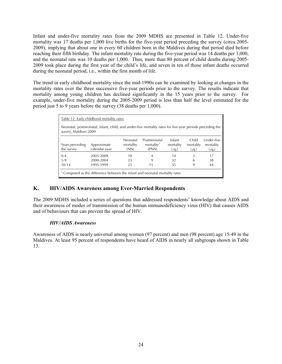Infant and under-five mortality rates from the 2009 MDHS are presented in Table 12. Under-five mortality was 17 deaths per 1,000 live births for the five-year period preceding the survey (circa 2005- 2009), implying that about one in every 60 children born in the Maldives during that period died before reaching their fifth birthday. The infant mortality rate during the five-year period was 14 deaths per 1,000, and the neonatal rate was 10 deaths per 1,000. Thus, more than 80 percent of child deaths during 2005- 2009 took place during the first year of the child's life, and seven in ten of those infant deaths occurred during the neonatal period, i.e., within the first month of life.

The trend in early childhood mortality since the mid-1990s can be examined by looking at changes in the mortality rates over the three successive five-year periods prior to the survey. The results indicate that mortality among young children has declined significantly in the 15 years prior to the survey. For example, under-five mortality during the 2005-2009 period is less than half the level estimated for the period just 5 to 9 years before the survey (38 deaths per 1,000).

|                               | Table 12 Early childhood mortality rates                                                                  |                               |                                                 |                                |                               |                                    |
|-------------------------------|-----------------------------------------------------------------------------------------------------------|-------------------------------|-------------------------------------------------|--------------------------------|-------------------------------|------------------------------------|
| survey, Maldives 2009         | Neonatal, postneonatal, infant, child, and under-five mortality rates for five-year periods preceding the |                               |                                                 |                                |                               |                                    |
| Years preceding<br>the survey | Approximate<br>calendar year                                                                              | Neonatal<br>mortality<br>(NN) | Postneonatal<br>mortality <sup>1</sup><br>(PNN) | Infant<br>mortality<br>$(q_0)$ | Child<br>mortality<br>$(q_1)$ | Under-five<br>mortality<br>$(q_0)$ |
| $0 - 4$                       | 2005-2009                                                                                                 | 10                            | 4                                               | 14                             | 3                             | 17                                 |
| $5-9$                         | 2000-2004                                                                                                 | 23                            | 9                                               | 32                             | 6                             | 38                                 |
| $10 - 14$                     | 1995-1999                                                                                                 | 25                            | 11                                              | 35                             | 9                             | 44                                 |
|                               | <sup>1</sup> Computed as the difference between the infant and neonatal mortality rates                   |                               |                                                 |                                |                               |                                    |

# **K. HIV/AIDS Awareness among Ever-Married Respondents**

The 2009 MDHS included a series of questions that addressed respondents' knowledge about AIDS and their awareness of modes of transmission of the human immunodeficiency virus (HIV) that causes AIDS and of behaviours that can prevent the spread of HIV.

# *HIV/AIDS Awareness*

Awareness of AIDS is nearly universal among women (97 percent) and men (98 percent) age 15-49 in the Maldives. At least 95 percent of respondents have heard of AIDS in nearly all subgroups shown in Table 13.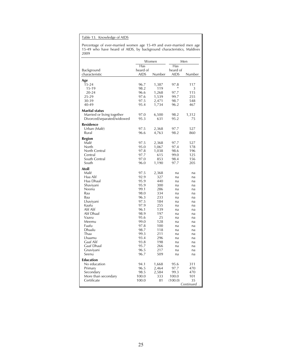Table 13. Knowledge of AIDS

Percentage of ever-married women age 15-49 and ever-married men age 15-49 who have heard of AIDS, by background characteristics, Maldives 2009

|                            | Women        |            | Men      |           |
|----------------------------|--------------|------------|----------|-----------|
|                            | Has          |            | Has      |           |
| Background                 | heard of     |            | heard of |           |
| characteristic             | aids         | Number     | aids     | Number    |
| Age                        |              |            |          |           |
| 15-24                      | 96.7         | 1,387      | 97.8     | 117       |
| $15-19$                    | 98.2         | 119        | $\ast$   | 3         |
| 20-24                      | 96.6         | 1,268      | 97.7     | 115       |
| 25-29                      | 97.6         | 1,539      | 99.7     | 255       |
| 30-39                      | 97.5         | 2,471      | 98.7     | 548       |
| 40-49                      | 95.4         | 1,734      | 96.2     | 467       |
| <b>Marital status</b>      |              |            |          |           |
| Married or living together | 97.0         | 6,500      | 98.2     | 1,312     |
| Divorced/separated/widowed | 95.3         | 631        | 95.2     | 75        |
| <b>Residence</b>           |              |            |          |           |
| Urban (Malé)               | 97.5         | 2,368      | 97.7     | 527       |
| Rural                      | 96.6         | 4,763      | 98.2     | 860       |
|                            |              |            |          |           |
| Region                     |              |            |          |           |
| Malé                       | 97.5         | 2,368      | 97.7     | 527       |
| North                      | 95.0         | 1,067      | 97.4     | 178       |
| North Central              | 97.8         | 1,038      | 98.6     | 196       |
| Central                    | 97.7         | 615        | 99.0     | 125       |
| South Central              | 97.0         | 853        | 98.4     | 156       |
| South                      | 96.0         | 1,190      | 97.7     | 205       |
| Atoll                      |              |            |          |           |
| Malé                       | 97.5         | 2,368      | na       | na        |
| Haa Alif                   | 92.9         | 327        | na       | na        |
| Haa Dhaal                  | 95.9         | 440        | na       | na        |
| Shaviyani                  | 95.9         | 300        | na       | na        |
| Noonu                      | 99.1         | 286        | na       | na        |
| Raa                        | 98.0         | 334        | na       | na        |
| Baa                        | 96.3         | 233        | na       | na        |
| Lhaviyani                  | 97.5         | 184        | na       | na        |
| Kaafu                      | 97.9         | 255        | na       | na        |
| Alif Alif<br>Alif Dhaal    | 96.1<br>98.9 | 139<br>197 | na       | na        |
| Vaavu                      | 95.6         | 25         | na<br>na | na        |
| Meemu                      | 99.0         | 128        | na       | na<br>na  |
| Faafu                      | 97.8         | 100        | na       | na        |
| Dhaalu                     | 98.7         | 118        | na       | na        |
| Thaa                       | 99.3         | 211        | na       | na        |
| Lhaamu                     | 93.4         | 296        | na       | na        |
| Gaaf Alif                  | 93.8         | 198        | na       | na        |
| Gaaf Dhaal                 | 95.7         | 266        | na       | na        |
| Gnaviyani                  | 96.5         | 217        | na       | na        |
| Seenu                      | 96.7         | 509        | na       | na        |
| <b>Education</b>           |              |            |          |           |
| No education               | 94.1         | 1,668      | 95.6     | 311       |
| Primary                    | 96.5         | 2,464      | 97.7     | 470       |
| Secondary                  | 98.5         | 2,584      | 99.3     | 470       |
| More than secondary        | 100.0        | 333        | 100.0    | 101       |
| Certificate                | 100.0        | 81         | (100.0)  | 35        |
|                            |              |            |          | Continued |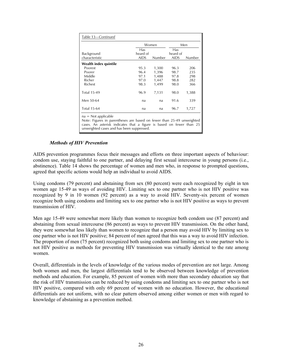| Table 13—Continued                                                                                                                                                                                                  |             |        |             |        |
|---------------------------------------------------------------------------------------------------------------------------------------------------------------------------------------------------------------------|-------------|--------|-------------|--------|
|                                                                                                                                                                                                                     |             | Women  |             | Men    |
|                                                                                                                                                                                                                     | Has         |        | Has         |        |
| Background                                                                                                                                                                                                          | heard of    |        | heard of    |        |
| characteristic                                                                                                                                                                                                      | <b>AIDS</b> | Number | <b>AIDS</b> | Number |
| Wealth index quintile                                                                                                                                                                                               |             |        |             |        |
| Poorest                                                                                                                                                                                                             | 95.3        | 1,300  | 96.3        | 206    |
| Poorer                                                                                                                                                                                                              | 96.4        | 1,396  | 98.7        | 235    |
| Middle                                                                                                                                                                                                              | 97.1        | 1,488  | 97.8        | 298    |
| Richer                                                                                                                                                                                                              | 97.0        | 1,447  | 98.8        | 282    |
| Richest                                                                                                                                                                                                             | 98.3        | 1,499  | 98.0        | 366    |
| <b>Total 15-49</b>                                                                                                                                                                                                  | 96.9        | 7,131  | 98.0        | 1,388  |
| Men 50-64                                                                                                                                                                                                           | na          | na     | 91.6        | 339    |
| <b>Total 15-64</b>                                                                                                                                                                                                  | na          | na     | 96.7        | 1,727  |
| $na = Not applicable$<br>Note: Figures in parentheses are based on fewer than 25-49 unweighted<br>cases. An asterisk indicates that a figure is based on fewer than 25<br>unweighted cases and has been suppressed. |             |        |             |        |

### *Methods of HIV Prevention*

AIDS prevention programmes focus their messages and efforts on three important aspects of behaviour: condom use, staying faithful to one partner, and delaying first sexual intercourse in young persons (i.e., abstinence). Table 14 shows the percentage of women and men who, in response to prompted questions, agreed that specific actions would help an individual to avoid AIDS.

Using condoms (79 percent) and abstaining from sex (80 percent) were each recognized by eight in ten women age 15-49 as ways of avoiding HIV. Limiting sex to one partner who is not HIV positive was recognized by 9 in 10 women (92 percent) as a way to avoid HIV. Seventy-six percent of women recognize both using condoms and limiting sex to one partner who is not HIV positive as ways to prevent transmission of HIV.

Men age 15-49 were somewhat more likely than women to recognize both condom use (87 percent) and abstaining from sexual intercourse (86 percent) as ways to prevent HIV transmission. On the other hand, they were somewhat less likely than women to recognize that a person may avoid HIV by limiting sex to one partner who is not HIV positive; 84 percent of men agreed that this was a way to avoid HIV infection. The proportion of men (75 percent) recognized both using condoms and limiting sex to one partner who is not HIV positive as methods for preventing HIV transmission was virtually identical to the rate among women.

Overall, differentials in the levels of knowledge of the various modes of prevention are not large. Among both women and men, the largest differentials tend to be observed between knowledge of prevention methods and education. For example, 85 percent of women with more than secondary education say that the risk of HIV transmission can be reduced by using condoms and limiting sex to one partner who is not HIV positive, compared with only 69 percent of women with no education. However, the educational differentials are not uniform, with no clear pattern observed among either women or men with regard to knowledge of abstaining as a prevention method.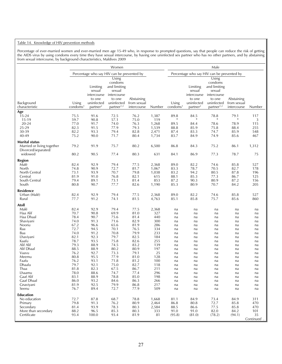#### Table 14. Knowledge of HIV prevention methods

Percentage of ever-married women and ever-married men age 15-49 who, in response to prompted questions, say that people can reduce the risk of getting the AIDS virus by using condoms every time they have sexual intercourse, by having one uninfected sex partner who has no other partners, and by abstaining from sexual intercourse, by background characteristics, Maldives 2009

|                                                                                         |                                                              |                                                                                   | Women                                                                                                       |                                                              |                                                        |                                                |                                                                                   | Male                                                                                                                              |                                                |                                              |
|-----------------------------------------------------------------------------------------|--------------------------------------------------------------|-----------------------------------------------------------------------------------|-------------------------------------------------------------------------------------------------------------|--------------------------------------------------------------|--------------------------------------------------------|------------------------------------------------|-----------------------------------------------------------------------------------|-----------------------------------------------------------------------------------------------------------------------------------|------------------------------------------------|----------------------------------------------|
|                                                                                         |                                                              |                                                                                   | Percentage who say HIV can be prevented by                                                                  |                                                              |                                                        |                                                |                                                                                   | Percentage who say HIV can be prevented by                                                                                        |                                                |                                              |
| Background<br>characteristic                                                            | Using<br>condoms <sup>1</sup>                                | Limiting<br>sexual<br>intercourse<br>to one<br>uninfected<br>partner <sup>2</sup> | Using<br>condoms<br>and limiting<br>sexual<br>intercourse<br>to one<br>uninfected<br>partner <sup>1,2</sup> | Abstaining<br>from sexual<br>intercourse                     | Number                                                 | Using<br>condoms <sup>1</sup>                  | Limiting<br>sexual<br>intercourse<br>to one<br>uninfected<br>partner <sup>2</sup> | $\overline{\mathrm{Using}}$<br>condoms<br>and limiting<br>sexual<br>intercourse<br>to one<br>uninfected<br>partner <sup>1,2</sup> | Abstaining<br>from sexual<br>intercourse       | Number                                       |
| Age                                                                                     |                                                              |                                                                                   |                                                                                                             |                                                              |                                                        |                                                |                                                                                   |                                                                                                                                   |                                                |                                              |
| $15 - 24$<br>15-19<br>$20 - 24$<br>25-29<br>30-39<br>40-49                              | 75.5<br>59.7<br>77.0<br>82.3<br>82.2<br>75.2                 | 91.6<br>90.8<br>91.7<br>91.5<br>93.3<br>90.0                                      | 72.5<br>57.1<br>74.0<br>77.9<br>79.4<br>71.7                                                                | 76.2<br>75.0<br>76.3<br>79.3<br>82.8<br>80.4                 | 1,387<br>119<br>1,268<br>1,539<br>2,471<br>1,734       | 89.8<br>$\ast$<br>89.5<br>88.8<br>87.4<br>83.7 | 84.5<br>$\ast$<br>84.4<br>85.9<br>83.3<br>84.9                                    | 78.8<br>$\ast$<br>78.6<br>75.8<br>74.7<br>74.9                                                                                    | 79.1<br>$\ast$<br>78.9<br>88.4<br>85.9<br>85.6 | 117<br>3<br>115<br>255<br>548<br>467         |
| <b>Marital status</b><br>Married or living together                                     | 79.2                                                         | 91.9                                                                              | 75.7                                                                                                        | 80.2                                                         | 6,500                                                  | 86.8                                           | 84.3                                                                              | 75.2                                                                                                                              | 86.1                                           | 1,312                                        |
| Divorced/separated/<br>widowed                                                          | 80.2                                                         | 90.5                                                                              | 77.4                                                                                                        | 80.3                                                         | 631                                                    | 84.1                                           | 86.9                                                                              | 77.3                                                                                                                              | 78.7                                           | 75                                           |
|                                                                                         |                                                              |                                                                                   |                                                                                                             |                                                              |                                                        |                                                |                                                                                   |                                                                                                                                   |                                                |                                              |
| <b>Region</b><br>Malé<br>North<br>North Central<br>Central<br>South Central<br>South    | 82.4<br>74.8<br>73.1<br>81.9<br>79.4<br>80.8                 | 92.9<br>90.9<br>93.9<br>91.0<br>89.1<br>90.7                                      | 79.4<br>72.7<br>70.7<br>76.8<br>73.1<br>77.7                                                                | 77.5<br>81.7<br>79.8<br>82.1<br>81.4<br>82.6                 | 2,368<br>1,067<br>1,038<br>615<br>853<br>1,190         | 89.0<br>83.3<br>83.2<br>88.1<br>87.2<br>85.3   | 82.2<br>78.7<br>94.2<br>85.3<br>90.3<br>80.9                                      | 74.6<br>70.5<br>80.5<br>77.3<br>80.9<br>70.7                                                                                      | 85.8<br>82.7<br>87.8<br>86.7<br>87.2<br>84.2   | 527<br>178<br>196<br>125<br>156<br>205       |
| Residence                                                                               |                                                              |                                                                                   |                                                                                                             |                                                              |                                                        |                                                |                                                                                   |                                                                                                                                   |                                                |                                              |
| Urban (Malé)<br>Rural                                                                   | 82.4<br>77.7                                                 | 92.9<br>91.2                                                                      | 79.4<br>74.1                                                                                                | 77.5<br>81.5                                                 | 2,368<br>4,763                                         | 89.0<br>85.1                                   | 82.2<br>85.8                                                                      | 74.6<br>75.7                                                                                                                      | 85.8<br>85.6                                   | 527<br>860                                   |
| Atoll<br>Malé<br>Haa Alif<br>Haa Dhaal<br>Shaviyani<br>Noonu<br>Raa<br>Baa<br>Lhaviyani | 82.4<br>70.7<br>78.4<br>74.0<br>67.2<br>72.7<br>74.0<br>82.1 | 92.9<br>90.8<br>90.7<br>91.3<br>96.6<br>94.5<br>91.2<br>92.3                      | 79.4<br>69.9<br>75.6<br>71.6<br>65.6<br>70.1<br>70.8<br>79.7                                                | 77.5<br>81.0<br>81.4<br>82.9<br>81.9<br>76.5<br>79.9<br>82.5 | 2,368<br>327<br>440<br>300<br>286<br>334<br>233<br>184 | na<br>na<br>na<br>na<br>na<br>na<br>na<br>na   | na<br>na<br>na<br>na<br>na<br>na<br>na<br>na                                      | na<br>na<br>na<br>na<br>na<br>na<br>na<br>na                                                                                      | na<br>na<br>na<br>na<br>na<br>na<br>na<br>na   | na<br>na<br>na<br>na<br>na<br>na<br>na<br>na |
| Kaafu<br>Alif Alif<br>Alif Dhaal<br>Vaavu                                               | 78.7<br>79.3<br>88.5<br>76.2                                 | 93.5<br>88.9<br>88.9<br>92.7                                                      | 75.8<br>74.5<br>80.2<br>73.3                                                                                | 82.6<br>83.2<br>80.9<br>79.1                                 | 255<br>139<br>197<br>25                                | na<br>na<br>na                                 | na<br>na<br>na                                                                    | na<br>na<br>na                                                                                                                    | na<br>na<br>na                                 | na<br>na<br>na                               |
| Meemu<br>Faafu<br>Dhaalu<br>Thaa<br>Lhaamu                                              | 80.8<br>76.2<br>79.7<br>81.8<br>78.0                         | 95.5<br>93.1<br>92.1<br>82.3<br>88.6                                              | 77.9<br>71.8<br>75.0<br>67.5<br>74.7                                                                        | 81.0<br>81.2<br>82.7<br>86.7<br>77.4                         | 128<br>100<br>118<br>211<br>296                        | na<br>na<br>na<br>na<br>na<br>na               | na<br>na<br>na<br>na<br>na<br>na                                                  | na<br>na<br>na<br>na<br>na<br>na                                                                                                  | na<br>na<br>na<br>na<br>na<br>na               | na<br>na<br>na<br>na<br>na<br>na             |
| Gaaf Alif<br>Gaaf Dhaal<br>Gnaviyani<br>Seenu                                           | 83.1<br>86.0<br>81.9<br>76.7                                 | 88.9<br>93.2<br>92.5<br>89.4                                                      | 78.8<br>84.6<br>79.9<br>72.7                                                                                | 85.0<br>86.3<br>86.8<br>77.9                                 | 198<br>266<br>217<br>509                               | na<br>na<br>na<br>na                           | na<br>na<br>na<br>na                                                              | na<br>na<br>na<br>na                                                                                                              | na<br>na<br>na<br>na                           | na<br>na<br>na<br>na                         |
| Education<br>No education<br>Primary<br>Secondary<br>More than secondary<br>Certificate | 72.7<br>79.8<br>81.4<br>88.2<br>93.4                         | 87.8<br>91.3<br>93.9<br>96.5<br>100.0                                             | 68.7<br>76.2<br>78.3<br>85.3<br>93.4                                                                        | 78.8<br>80.9<br>80.3<br>80.3<br>81.9                         | 1,668<br>2,464<br>2,584<br>333<br>81                   | 81.1<br>86.8<br>88.5<br>91.0<br>(95.8)         | 84.9<br>80.8<br>86.6<br>91.0<br>(81.0)                                            | 73.4<br>72.7<br>77.5<br>82.0<br>(78.2)                                                                                            | 84.9<br>85.8<br>85.8<br>84.2<br>(94.1)         | 311<br>470<br>470<br>101<br>35<br>Continued. |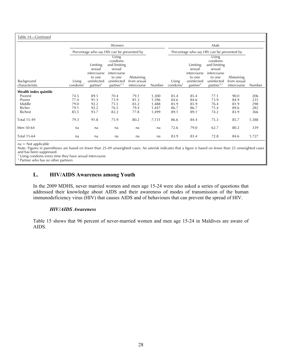| Table 14-Continued    |                      |                      |                                            |                           |        |                      |                      |                                            |                           |        |
|-----------------------|----------------------|----------------------|--------------------------------------------|---------------------------|--------|----------------------|----------------------|--------------------------------------------|---------------------------|--------|
|                       |                      |                      | Women                                      |                           |        |                      |                      | Male                                       |                           |        |
|                       |                      |                      | Percentage who say HIV can be prevented by |                           |        |                      |                      | Percentage who say HIV can be prevented by |                           |        |
|                       |                      | Limiting<br>sexual   | Using<br>condoms<br>and limiting<br>sexual |                           |        |                      | Limiting<br>sexual   | Using<br>condoms<br>and limiting<br>sexual |                           |        |
|                       |                      | intercourse          | intercourse                                |                           |        |                      | intercourse          | intercourse                                |                           |        |
| Background            | Using                | to one<br>uninfected | to one<br>uninfected                       | Abstaining<br>from sexual |        | Using                | to one<br>uninfected | to one<br>uninfected                       | Abstaining<br>from sexual |        |
| characteristic        | condoms <sup>1</sup> | partner <sup>2</sup> | partner <sup>1,2</sup>                     | intercourse               | Number | condoms <sup>1</sup> | partner <sup>2</sup> | partner <sup>1,2</sup>                     | intercourse               | Number |
| Wealth index quintile |                      |                      |                                            |                           |        |                      |                      |                                            |                           |        |
| Poorest               | 74.5                 | 89.1                 | 70.4                                       | 79.1                      | 1,300  | 85.4                 | 85.4                 | 77.1                                       | 90.0                      | 206    |
| Poorer                | 77.4                 | 91.3                 | 73.9                                       | 81.3                      | 1,396  | 84.6                 | 84.6                 | 73.9                                       | 84.9                      | 235    |
| Middle                | 79.0                 | 92.2                 | 75.5                                       | 83.2                      | 1,488  | 85.9                 | 85.9                 | 76.4                                       | 81.9                      | 298    |
| Richer                | 79.1                 | 92.2                 | 76.5                                       | 79.4                      | 1,447  | 86.7                 | 86.7                 | 75.4                                       | 89.6                      | 282    |
| Richest               | 85.5                 | 93.7                 | 82.2                                       | 77.8                      | 1,499  | 89.1                 | 89.1                 | 74.2                                       | 83.9                      | 366    |
| <b>Total 15-49</b>    | 79.3                 | 91.8                 | 75.9                                       | 80.2                      | 7,131  | 86.6                 | 84.4                 | 75.3                                       | 85.7                      | 1,388  |
| Men 50-64             | na                   | na                   | na                                         | na                        | na     | 72.6                 | 79.0                 | 62.7                                       | 80.2                      | 339    |
| <b>Total 15-64</b>    | na                   | na                   | na                                         | na                        | na     | 83.9                 | 83.4                 | 72.8                                       | 84.6                      | 1,727  |

na = Not applicable

Note: Figures in parentheses are based on fewer than 25-49 unweighted cases. An asterisk indicates that a figure is based on fewer than 25 unweighted cases and has been suppressed.

<sup>1</sup> Using condoms every time they have sexual intercourse

2 Partner who has no other partners

# **L. HIV/AIDS Awareness among Youth**

In the 2009 MDHS, never married women and men age 15-24 were also asked a series of questions that addressed their knowledge about AIDS and their awareness of modes of transmission of the human immunodeficiency virus (HIV) that causes AIDS and of behaviours that can prevent the spread of HIV.

#### *HIV/AIDS Awareness*

Table 15 shows that 96 percent of never-married women and men age 15-24 in Maldives are aware of AIDS.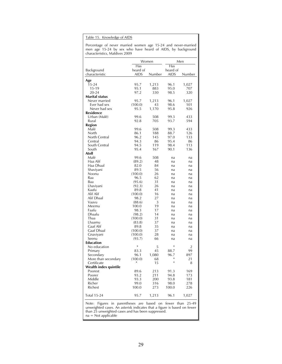### Table 15. Knowledge of AIDS

Percentage of never married women age 15-24 and never-married men age 15-24 by sex who have heard of AIDS, by background characteristics, Maldives 2009

|                               | Has             | Women       | Has          | Men        |
|-------------------------------|-----------------|-------------|--------------|------------|
| Background                    | heard of        |             | heard of     |            |
| characteristic                | <b>AIDS</b>     | Number      | aids         | Number     |
| Age                           |                 |             |              |            |
| 15-24                         | 95.7            | 1,213       | 96.1         | 1,027      |
| $15-19$                       | 95.1            | 883         | 95.0         | 707        |
| 20-24                         | 97.2            | 330         | 98.5         | 320        |
| Marital status                |                 |             |              |            |
| Never married<br>Ever had sex | 95.7            | 1,213<br>43 | 96.1         | 1,027      |
| Never had sex                 | (100.0)<br>95.5 | 1,170       | 98.6<br>95.8 | 101<br>926 |
| Residence                     |                 |             |              |            |
| Urban (Malé)                  | 99.6            | 508         | 99.3         | 433        |
| Rural                         | 92.8            | 705         | 93.7         | 594        |
| <b>Region</b>                 |                 |             |              |            |
| Malé                          | 99.6            | 508         | 99.3         | 433        |
| North                         | 86.1            | 188         | 88.7         | 126        |
| North Central                 | 96.2            | 145         | 97.0         | 133        |
| Central                       | 94.3            | 86          | 95.4         | 86         |
| South Central                 | 94.5            | 119         | 98.4         | 113        |
| South                         | 95.4            | 167         | 90.1         | 136        |
| Atoll                         |                 |             |              |            |
| Malé                          | 99.6            | 508         | na           | na         |
| Haa Alif                      | (89.2)          | 48          | na           | na         |
| Haa Dhaal                     | 82.0            | 84          | na           | na         |
| Shaviyani                     | 89.5            | 56          | na           | na         |
| Noonu<br>Raa                  | (100.0)<br>96.5 | 26<br>62    | na           | na         |
| Baa                           | (95.6)          | 31          | na<br>na     | na<br>na   |
| Lhaviyani                     | (92.3)          | 26          | na           | na         |
| Kaafu                         | 89.8            | 41          | na           | na         |
| Alif Alif                     | (100.0)         | 16          | na           | na         |
| Alif Dhaal                    | 98.2            | 27          | na           | na         |
| Vaavu                         | (88.6)          | 3           | na           | na         |
| Meemu                         | 100.0           | 19          | na           | na         |
| Faafu                         | 98.3            | 17          | na           | na         |
| Dhaalu                        | (98.2)          | 14          | na           | na         |
| Thaa                          | (100.0)         | 31          | na           | na         |
| Lhaamu                        | (83.8)          | 37          | na           | na         |
| Gaaf Alif                     | 89.8            | 35          | na           | na         |
| Gaaf Dhaal                    | (100.0)         | 37          | na           | na         |
| Gnaviyani                     | (100.0)         | 28          | na           | na         |
| Seenu                         | (93.7)          | 66          | na           | na         |
| <b>Education</b>              | *               |             | *            |            |
| No education                  |                 | 5           |              | 2          |
| Primary<br>Secondary          | 83.3<br>96.1    | 45<br>1,080 | 88.7<br>96.7 | 99<br>897  |
| More than secondary           | (100.0)         | 68          | *            | 21         |
| Certificate                   |                 | 15          | *            | 8          |
| Wealth index quintile         |                 |             |              |            |
| Poorest                       | 89.6            | 213         | 91.3         | 169        |
| Poorer                        | 93.2            | 211         | 94.8         | 173        |
| Middle                        | 93.3            | 200         | 93.8         | 181        |
| Richer                        | 99.0            | 316         | 98.0         | 278        |
| Richest                       | 100.0           | 273         | 100.0        | 226        |
| Total 15-24                   | 95.7            | 1,213       | 96.1         | 1,027      |

na = Not applicable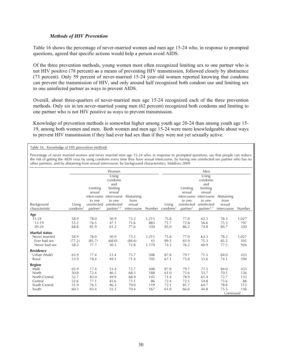### *Methods of HIV Prevention*

Table 16 shows the percentage of never-married women and men age 15-24 who, in response to prompted questions, agreed that specific actions would help a person avoid AIDS.

Of the three prevention methods, young women most often recognized limiting sex to one partner who is not HIV positive (78 percent) as a means of preventing HIV transmission, followed closely by abstinence (73 percent). Only 59 percent of never-married 15-24 year-old women reported knowing that condoms can prevent the transmission of HIV, and only around half recognized both condom use and limiting sex to one uninfected partner as ways to prevent AIDS.

Overall, about three-quarters of never-married men age 15-24 recognized each of the three prevention methods. Only six in ten never-married young men (62 percent) recognized both condoms and limiting to one partner who is not HIV positive as ways to prevent transmission.

Knowledge of prevention methods is somewhat higher among youth age 20-24 than among youth age 15- 19, among both women and men. Both women and men age 15-24 were more knowledgeable about ways to prevent HIV transmission if they had ever had sex than if they were not yet sexually active.

Table 16. Knowledge of HIV prevention methods

Percentage of never married women and never married men age 15-24 who, in response to prompted questions, say that people can reduce the risk of getting the AIDS virus by using condoms every time they have sexual intercourse, by having one uninfected sex partner who has no other partners, and by abstaining from sexual intercourse, by background characteristics, Maldives 2009

|                       |                      |                      | Women                                        |             |       |                             | Men                  |                                   |             |        |  |
|-----------------------|----------------------|----------------------|----------------------------------------------|-------------|-------|-----------------------------|----------------------|-----------------------------------|-------------|--------|--|
|                       |                      |                      | $\overline{\mathsf{Using}}$                  |             |       |                             |                      | $\overline{\mathsf{Using}}$       |             |        |  |
|                       |                      |                      | condoms                                      |             |       | condoms                     |                      |                                   |             |        |  |
|                       |                      |                      | and                                          |             |       |                             |                      | and                               |             |        |  |
|                       |                      | Limiting             | limiting                                     |             |       |                             | Limiting<br>sexual   | limiting                          |             |        |  |
|                       |                      | sexual               | sexual<br>intercourse intercourse Abstaining |             |       |                             |                      | sexual<br>intercourse intercourse | Abstaining  |        |  |
|                       |                      | to one               | to one                                       | from        |       |                             | to one               | to one                            | from        |        |  |
| Background            | Using                | uninfected           | uninfected                                   | sexual      |       | Using                       | uninfected           | uninfected                        | sexual      |        |  |
| characteristic        | condoms <sup>1</sup> | partner <sup>2</sup> | partner <sup>1,2</sup>                       | intercourse |       | Number condoms <sup>1</sup> | partner <sup>2</sup> | partner <sup>1,2</sup>            | intercourse | Number |  |
| Age                   |                      |                      |                                              |             |       |                             |                      |                                   |             |        |  |
| $15 - 24$             | 58.9                 | 78.0                 | 50.9                                         | 73.2        | 1,213 | 75.8                        | 77.0                 | 62.3                              | 78.3        | 1,027  |  |
| $15-19$               | 55.2                 | 76.5                 | 47.1                                         | 71.6        | 883   | 71.7                        | 72.8                 | 56.6                              | 75.3        | 707    |  |
| $20 - 24$             | 68.8                 | 81.9                 | 61.2                                         | 77.6        | 330   | 85.0                        | 86.2                 | 74.8                              | 84.7        | 320    |  |
| <b>Marital status</b> |                      |                      |                                              |             |       |                             |                      |                                   |             |        |  |
| Never married         | 58.9                 | 78.0                 | 50.9                                         | 73.2        | 1,213 | 75.8                        | 77.0                 | 62.3                              | 78.3        | 1,027  |  |
| Ever had sex          | (77.2)               | (85.7)               | (68.0)                                       | (84.6)      | 43    | 89.5                        | 83.9                 | 75.3                              | 85.5        | 101    |  |
| Never had sex         | 58.2                 | 77.7                 | 50.3                                         | 72.8        | 1,170 | 74.3                        | 76.2                 | 60.9                              | 77.5        | 926    |  |
| <b>Residence</b>      |                      |                      |                                              |             |       |                             |                      |                                   |             |        |  |
| Urban (Malé)          | 65.9                 | 77.4                 | 53.4                                         | 75.7        | 508   | 87.8                        | 79.7                 | 71.5                              | 84.0        | 433    |  |
| Rural                 | 53.9                 | 78.4                 | 49.1                                         | 71.4        | 705   | 67.1                        | 75.0                 | 55.6                              | 74.1        | 594    |  |
| <b>Region</b>         |                      |                      |                                              |             |       |                             |                      |                                   |             |        |  |
| Malé                  | 65.9                 | 77.4                 | 53.4                                         | 75.7        | 508   | 87.8                        | 79.7                 | 71.5                              | 84.0        | 433    |  |
| North                 | 50.8                 | 72.4                 | 46.5                                         | 68.5        | 188   | 61.0                        | 75.6                 | 53.7                              | 70.1        | 126    |  |
| North Central         | 52.7                 | 83.0                 | 49.9                                         | 68.9        | 145   | 71.4                        | 78.9                 | 61.4                              | 72.7        | 133    |  |
| Central               | 52.6                 | 77.1                 | 45.6                                         | 73.1        | 86    | 72.4                        | 72.5                 | 54.8                              | 73.6        | 86     |  |
| South Central         | 51.9                 | 76.5                 | 46.3                                         | 79.0        | 119   | 72.1                        | 81.7                 | 64.7                              | 78.8        | 113    |  |
| South                 | 60.3                 | 83.4                 | 55.3                                         | 70.4        | 167   | 61.0                        | 66.6                 | 44.8                              | 75.5        | 136    |  |
|                       |                      |                      |                                              |             |       |                             |                      |                                   | Continued.  |        |  |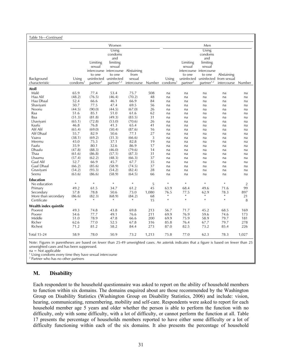| Table 16—Continued               |                      |                      |                                    |                  |            |                      |                      |                         |                                                 |                |
|----------------------------------|----------------------|----------------------|------------------------------------|------------------|------------|----------------------|----------------------|-------------------------|-------------------------------------------------|----------------|
|                                  |                      |                      | Women                              |                  |            |                      |                      | Men                     |                                                 |                |
|                                  |                      |                      | Using                              |                  |            |                      |                      | Using                   |                                                 |                |
|                                  |                      |                      | condoms                            |                  |            |                      |                      | condoms                 |                                                 |                |
|                                  |                      |                      | and                                |                  |            |                      |                      | and                     |                                                 |                |
|                                  |                      | Limiting             | limiting                           |                  |            |                      | Limiting             | limiting                |                                                 |                |
|                                  |                      | sexual               | sexual                             |                  |            |                      | sexual               | sexual                  |                                                 |                |
|                                  |                      |                      | intercourse intercourse Abstaining |                  |            |                      |                      | intercourse intercourse |                                                 |                |
| Background                       | Using                | to one<br>uninfected | to one<br>uninfected               | from<br>sexual   |            | Using                | to one               | to one                  | Abstaining<br>uninfected uninfected from sexual |                |
| characteristic                   | condoms <sup>1</sup> | partner <sup>2</sup> | partner <sup>1,2</sup>             | intercourse      | Number     | condoms <sup>1</sup> | partner <sup>2</sup> | partner <sup>1,2</sup>  | intercourse                                     | Number         |
| <b>Atoll</b>                     |                      |                      |                                    |                  |            |                      |                      |                         |                                                 |                |
| Malé                             | 65.9                 | 77.4                 | 53.4                               | 75.7             | 508        | na                   | na                   | na                      | na                                              | na             |
| Haa Alif                         | (48.2)               | (76.5)               | (46.4)                             | (70.2)           | 48         | na                   | na                   | na                      | na                                              | na             |
| Haa Dhaal                        | 52.4                 | 66.6                 | 46.1                               | 66.9             | 84         | na                   | na                   | na                      | na                                              | na             |
| Shaviyani                        | 50.7                 | 77.5                 | 47.4                               | 69.5             | 56         | na                   | na                   | na                      | na                                              | na             |
| Noonu                            | (44.5)               | (90.0)               | (44.5)                             | (67.0)           | 26         | na                   | na                   | na                      | na                                              | na             |
| Raa                              | 51.6                 | 85.1                 | 51.0                               | 61.6             | 62         | na                   | na                   | na                      | na                                              | na             |
| Baa                              | (51.3)               | (81.8)               | (49.3)                             | (83.5)           | 31         | na                   | na                   | na                      | na                                              | na             |
| Lhaviyani                        | (65.1)               | (72.8)               | (53.0)                             | (70.6)           | 26         | na                   | na                   | na                      | na                                              | na             |
| Kaafu                            | 46.8                 | 76.8                 | 41.3                               | 65.4             | 41         | na                   | na                   | na                      | na                                              | na             |
| Alif Alif                        | (65.4)               | (69.0)               | (50.4)                             | (87.6)           | 16         | na                   | na                   | na                      | na                                              | na             |
| Alif Dhaal                       | 55.7                 | 82.9                 | 50.6                               | 77.1             | 27         | na                   | na                   | na                      | na                                              | na             |
| Vaavu                            | (38.1)               | (69.2)               | (31.3)                             | (66.6)           | 3          | na                   | na                   | na                      | na                                              | na             |
| Meemu                            | 43.0                 | 75.3                 | 37.1                               | 82.8             | 19         | na                   | na                   | na                      | na                                              | na             |
| Faafu                            | 35.9                 | 80.1<br>(88.3)       | 32.6<br>(46.0)                     | 86.9<br>(79.6)   | 17         | na                   | na                   | na                      | na                                              | na             |
| Dhaalu<br>Thaa                   | (47.8)               | (86.8)               | (57.1)                             | (87.3)           | 14<br>31   | na                   | na                   | na                      | na                                              | na             |
| Lhaamu                           | (61.6)<br>(57.4)     | (62.2)               | (48.3)                             | (66.3)           | 37         | na                   | na                   | na                      | na                                              | na             |
| Gaaf Alif                        | 52.7                 | 66.9                 | 45.7                               | 67.7             | 35         | na                   | na                   | na                      | na                                              | na<br>na       |
| Gaaf Dhaal                       | (66.2)               | (85.6)               | (58.9)                             | (74.5)           | 37         | na<br>na             | na<br>na             | na<br>na                | na<br>na                                        | na             |
| Gnaviyani                        | (54.2)               | (93.3)               | (54.2)                             | (82.4)           | 28         | na                   | na                   | na                      | na                                              | na             |
| Seenu                            | (63.6)               | (86.6)               | (58.9)                             | (64.5)           | 66         | na                   | na                   | na                      | na                                              | na             |
|                                  |                      |                      |                                    |                  |            |                      |                      |                         |                                                 |                |
| <b>Education</b>                 | $\ast$               | $\ast$               | $\ast$                             | $\ast$           |            | $\ast$               | $\ast$               | $\ast$                  | $\ast$                                          |                |
| No education                     |                      |                      |                                    |                  | 5          |                      |                      |                         |                                                 | $\overline{2}$ |
| Primary                          | 49.2                 | 61.5                 | 34.7                               | 61.2             | 45         | 63.9                 | 68.4<br>77.5         | 49.6                    | 71.6<br>78.3                                    | 99             |
| Secondary<br>More than secondary | 57.8                 | 78.8<br>(82.3)       | 50.6<br>(68.9)                     | 73.0             | 1,080      | 76.5<br>$\ast$       | $\ast$               | 62.9<br>$\ast$          | $\ast$                                          | 897<br>21      |
| Certificate                      | (86.6)<br>$\ast$     | $\ast$               |                                    | (84.2)<br>$\ast$ | 68<br>15   | $\ast$               | $\ast$               | $\ast$                  | $\ast$                                          | 8              |
|                                  |                      |                      |                                    |                  |            |                      |                      |                         |                                                 |                |
| Wealth index quintile            |                      |                      |                                    |                  |            |                      |                      |                         |                                                 |                |
| Poorest                          | 49.3                 | 74.8                 | 43.8                               | 69.8             | 213        | 56.7                 | 71.7                 | 45.2                    | 68.5                                            | 169            |
| Poorer<br>Middle                 | 54.6<br>51.0         | 77.7<br>78.9         | 49.1<br>47.8                       | 76.6             | 211<br>200 | 69.9<br>69.9         | 76.9<br>75.9         | 59.6<br>58.9            | 74.6<br>79.7                                    | 173<br>181     |
| Richer                           | 62.6                 | 77.0                 | 52.5                               | 66.6<br>67.8     | 316        | 85.8                 | 76.4                 | 67.7                    | 79.7                                            | 278            |
| Richest                          | 71.2                 | 81.2                 | 58.2                               | 84.4             | 273        | 87.0                 | 82.5                 | 73.2                    | 85.4                                            | 226            |
|                                  |                      |                      |                                    |                  |            |                      |                      |                         |                                                 |                |
| <b>Total 15-24</b>               | 58.9                 | 78.0                 | 50.9                               | 73.2             | 1,213      | 75.8                 | 77.0                 | 62.3                    | 78.3                                            | 1,027          |

Note: Figures in parentheses are based on fewer than 25-49 unweighted cases. An asterisk indicates that a figure is based on fewer than 25 unweighted cases and has been suppressed.

 $na = Not applicable$ 

<sup>1</sup> Using condoms every time they have sexual intercourse

2 Partner who has no other partners

# **M. Disability**

Each respondent to the household questionnaire was asked to report on the ability of household members to function within six domains. The domains enquired about are those recommended by the Washington Group on Disability Statistics (Washington Group on Disability Statistics, 2006) and include: vision, hearing, communicating, remembering, mobility and self-care. Respondents were asked to report for each household member age 5 years and older whether the person is able to perform the function with no difficulty, only with some difficulty, with a lot of difficulty, or cannot perform the function at all. Table 17 presents the percentage of households members reported to have either some difficulty or a lot of difficulty functioning within each of the six domains. It also presents the percentage of household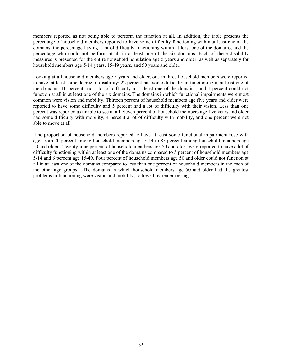members reported as not being able to perform the function at all. In addition, the table presents the percentage of household members reported to have some difficulty functioning within at least one of the domains, the percentage having a lot of difficulty functioning within at least one of the domains, and the percentage who could not perform at all in at least one of the six domains. Each of these disability measures is presented for the entire household population age 5 years and older, as well as separately for household members age 5-14 years, 15-49 years, and 50 years and older.

Looking at all household members age 5 years and older, one in three household members were reported to have at least some degree of disability; 22 percent had some difficulty in functioning in at least one of the domains, 10 percent had a lot of difficulty in at least one of the domains, and 1 percent could not function at all in at least one of the six domains. The domains in which functional impairments were most common were vision and mobility. Thirteen percent of household members age five years and older were reported to have some difficulty and 5 percent had a lot of difficulty with their vision. Less than one percent was reported as unable to see at all. Seven percent of household members age five years and older had some difficulty with mobility, 4 percent a lot of difficulty with mobility, and one percent were not able to move at all.

 The proportion of household members reported to have at least some functional impairment rose with age, from 20 percent among household members age 5-14 to 85 percent among household members age 50 and older. Twenty-nine percent of household members age 50 and older were reported to have a lot of difficulty functioning within at least one of the domains compared to 5 percent of household members age 5-14 and 6 percent age 15-49. Four percent of household members age 50 and older could not function at all in at least one of the domains compared to less than one percent of household members in the each of the other age groups. The domains in which household members age 50 and older had the greatest problems in functioning were vision and mobility, followed by remembering.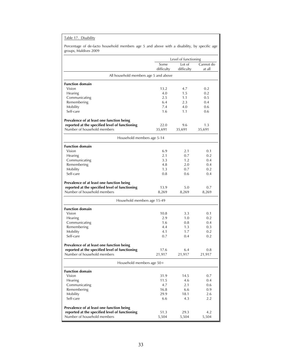| Table 17. . | Disability |
|-------------|------------|
|             |            |

Percentage of de-facto household members age 5 and above with a disability, by specific age groups, Maldives 2009

|                                                | Level of functioning |                      |                     |  |  |
|------------------------------------------------|----------------------|----------------------|---------------------|--|--|
|                                                | Some<br>difficulty   | Lot of<br>difficulty | Cannot do<br>at all |  |  |
| All household members age 5 and above          |                      |                      |                     |  |  |
| <b>Function domain</b>                         |                      |                      |                     |  |  |
| Vision                                         | 13.2                 | 4.7                  | 0.2                 |  |  |
| Hearing                                        | 4.0                  | 1.5                  | 0.2                 |  |  |
| Communicating                                  | 2.5                  | 1.1                  | 0.5                 |  |  |
| Remembering                                    | 6.4                  | 2.3                  | 0.4                 |  |  |
| Mobility                                       | 7.4                  | 4.0                  | 0.6                 |  |  |
| Self-care                                      | 1.6                  | 1.1                  | 0.6                 |  |  |
| Prevalence of at least one function being      |                      |                      |                     |  |  |
| reported at the specified level of functioning | 22.0                 | 9.6                  | 1.3                 |  |  |
| Number of household members                    | 35,691               | 35,691               | 35,691              |  |  |
| Household members age 5-14                     |                      |                      |                     |  |  |
| <b>Function domain</b>                         |                      |                      |                     |  |  |
| Vision                                         | 6.9                  | 2.1                  | 0.1                 |  |  |
| Hearing                                        | 2.1                  | 0.7                  | 0.2                 |  |  |
| Communicating                                  | 3.3                  | 1.2                  | 0.4                 |  |  |
| Remembering                                    | 4.8                  | 2.0                  | 0.4                 |  |  |
| Mobility                                       | 1.3                  | 0.7                  | 0.2                 |  |  |
| Self-care                                      | 0.8                  | 0.6                  | 0.4                 |  |  |
| Prevalence of at least one function being      |                      |                      |                     |  |  |
| reported at the specified level of functioning | 13.9                 | 5.0                  | 0.7                 |  |  |
| Number of household members                    | 8,269                | 8,269                | 8,269               |  |  |
| Household members age 15-49                    |                      |                      |                     |  |  |
| <b>Function domain</b>                         |                      |                      |                     |  |  |
| Vision                                         | 10.8                 | 3.3                  | 0.1                 |  |  |
| Hearing                                        | 2.9                  | 1.0                  | 0.2                 |  |  |
| Communicating                                  | 1.6                  | 0.8                  | 0.4                 |  |  |
| Remembering                                    | 4.4                  | 1.3                  | 0.3                 |  |  |
| Mobility                                       | 4.1                  | 1.7                  | 0.2                 |  |  |
| Self-care                                      | 0.7                  | 0.4                  | 0.2                 |  |  |
| Prevalence of at least one function being      |                      |                      |                     |  |  |
| reported at the specified level of functioning | 17.6                 | 6.4                  | 0.8                 |  |  |
| Number of household members                    | 21,917               | 21,917               | 21,917              |  |  |
| Household members age 50+                      |                      |                      |                     |  |  |
| <b>Function domain</b>                         |                      |                      |                     |  |  |
| Vision                                         | 31.9                 | 14.5                 | 0.7                 |  |  |
| Hearing                                        | 11.5                 | 4.6                  | 0.4                 |  |  |
| Communicating                                  | 4.7                  | 2.1                  | 0.6                 |  |  |
| Remembering                                    | 16.8                 | 6.6                  | 0.9                 |  |  |
| Mobility                                       | 29.9                 | 18.1                 | 2.6                 |  |  |
| Self-care                                      | 6.6                  | 4.3                  | 2.2                 |  |  |
| Prevalence of at least one function being      |                      |                      |                     |  |  |
|                                                |                      |                      |                     |  |  |
| reported at the specified level of functioning | 51.3                 | 29.3                 | 4.2                 |  |  |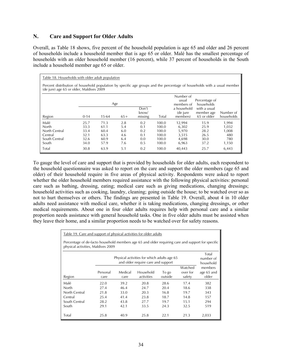# **N. Care and Support for Older Adults**

Overall, as Table 18 shows, five percent of the household population is age 65 and older and 26 percent of households include a household member that is age 65 or older. Malé has the smallest percentage of households with an older household member (16 percent), while 37 percent of households in the South include a household member age 65 or older.

| Table 18. Households with older adult population                                                                                                                     |                                              |                                              |                                        |                                        |                                                    |                                                     |                                              |                                                |  |
|----------------------------------------------------------------------------------------------------------------------------------------------------------------------|----------------------------------------------|----------------------------------------------|----------------------------------------|----------------------------------------|----------------------------------------------------|-----------------------------------------------------|----------------------------------------------|------------------------------------------------|--|
| Percent distribution of household population by specific age groups and the percentage of households with a usual member<br>(de jure) age 65 or older, Maldives 2009 |                                              |                                              |                                        |                                        |                                                    |                                                     |                                              |                                                |  |
|                                                                                                                                                                      |                                              | Age                                          |                                        |                                        |                                                    | Number of<br>usual<br>members of                    | Percentage of<br>households                  |                                                |  |
| Region                                                                                                                                                               | $0 - 14$                                     | $15-64$                                      | $65+$                                  | Don't<br>know/<br>missing              | Total                                              | a household<br>(de jure<br>members)                 | with a usual<br>member age<br>65 or older    | Number of<br>households                        |  |
| Malé<br>North<br>North Central<br>Central<br>South Central<br>South                                                                                                  | 25.7<br>33.3<br>33.4<br>32.1<br>32.6<br>34.0 | 71.3<br>61.1<br>60.4<br>63.3<br>60.9<br>57.9 | 2.8<br>5.4<br>6.0<br>4.6<br>6.4<br>7.6 | 0.2<br>0.1<br>0.2<br>0.1<br>0.0<br>0.5 | 100.0<br>100.0<br>100.0<br>100.0<br>100.0<br>100.0 | 12,994<br>6,302<br>5,970<br>3,515<br>4,698<br>6,963 | 15.9<br>25.9<br>28.2<br>26.5<br>30.0<br>37.2 | 1,994<br>1,032<br>1,008<br>480<br>780<br>1,150 |  |
| Total                                                                                                                                                                | 30.8                                         | 63.9                                         | 5.1                                    | 0.2                                    | 100.0                                              | 40,443                                              | 25.7                                         | 6,443                                          |  |

To gauge the level of care and support that is provided by households for older adults, each respondent to the household questionnaire was asked to report on the care and support the older members (age 65 and older) of their household require in five areas of physical activity. Respondents were asked to report whether the older household members required assistance with the following physical activities: personal care such as bathing, dressing, eating; medical care such as giving medications, changing dressings; household activities such as cooking, laundry, cleaning; going outside the house; to be watched over so as not to hurt themselves or others. The findings are presented in Table 19. Overall, about 4 in 10 older adults need assistance with medical care, whether it is taking medications, changing dressings, or other medical requirements. About one in four older adults requires help with personal care and a similar proportion needs assistance with general household tasks. One in five older adults must be assisted when they leave their home, and a similar proportion needs to be watched over for safety reasons.

| Table 19. Care and support of physical activities for older adults                                                                      |          |         |            |         |                     |                       |  |  |
|-----------------------------------------------------------------------------------------------------------------------------------------|----------|---------|------------|---------|---------------------|-----------------------|--|--|
| Percentage of de-facto household members age 65 and older requiring care and support for specific<br>physical activities, Maldives 2009 |          |         |            |         |                     |                       |  |  |
| Total<br>Physical activities for which adults age 65<br>number of<br>and older require care and support<br>household                    |          |         |            |         |                     |                       |  |  |
|                                                                                                                                         | Personal | Medical | Household  | To go   | Watched<br>over for | members<br>age 65 and |  |  |
| Region                                                                                                                                  | care     | care    | activities | outside | safety              | older                 |  |  |
| Malé                                                                                                                                    | 22.0     | 39.2    | 20.8       | 28.6    | 17.4                | 382                   |  |  |
| North                                                                                                                                   | 27.4     | 46.4    | 24.7       | 20.4    | 18.6                | 338                   |  |  |
| North Central                                                                                                                           | 21.8     | 33.0    | 20.3       | 16.8    | 19.7                | 343                   |  |  |
| Central                                                                                                                                 | 25.4     | 41.4    | 23.8       | 18.7    | 14.8                | 157                   |  |  |
| South Central                                                                                                                           | 28.2     | 43.8    | 27.7       | 19.7    | 15.1                | 294                   |  |  |
| South                                                                                                                                   | 29.1     | 42.1    | 33.5       | 24.3    | 32.5                | 519                   |  |  |
| Total                                                                                                                                   | 25.8     | 40.9    | 25.8       | 22.1    | 21.3                | 2,033                 |  |  |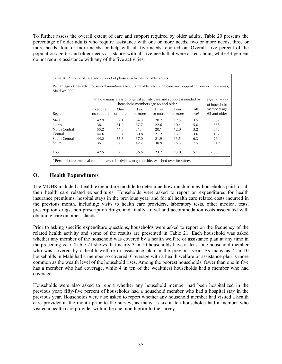To further assess the overall extent of care and support required by older adults, Table 20 presents the percentage of older adults who require assistance with one or more needs, two or more needs, three or more needs, four or more needs, or help with all five needs reported on. Overall, five percent of the population age 65 and older needs assistance with all five needs that were asked about, while 43 percent do not require assistance with any of the five activities.

| Percentage of de-facto household members age 65 and older requiring care and support in one or more areas,<br>Maldives 2009                |            |         |         |         |         |                   |              |  |  |
|--------------------------------------------------------------------------------------------------------------------------------------------|------------|---------|---------|---------|---------|-------------------|--------------|--|--|
| In how many areas of physical activity care and support is needed by<br>Total number<br>household members age 65 and older<br>of household |            |         |         |         |         |                   |              |  |  |
|                                                                                                                                            | Require    | One     | Two     | Three   | Four    | All               | members age  |  |  |
| Region                                                                                                                                     | no support | or more | or more | or more | or more | five <sup>1</sup> | 65 and older |  |  |
| Malé                                                                                                                                       | 42.9       | 57.1    | 34.3    | 20.7    | 12.5    | 3.5               | 382          |  |  |
| North                                                                                                                                      | 38.1       | 61.9    | 37.7    | 22.6    | 10.4    | 5.0               | 338          |  |  |
| North Central                                                                                                                              | 55.2       | 44.8    | 31.4    | 20.1    | 12.0    | 3.2               | 343          |  |  |
| Central                                                                                                                                    | 44.6       | 55.4    | 30.8    | 21.2    | 13.1    | 3.6               | 157          |  |  |
| South Central                                                                                                                              | 44.2       | 55.8    | 37.0    | 21.9    | 13.5    | 6.3               | 294          |  |  |
| South                                                                                                                                      | 35.1       | 64.9    | 42.7    | 30.9    | 15.5    | 7.5               | 519          |  |  |
| Total                                                                                                                                      | 42.5       | 57.5    | 36.6    | 23.7    | 13.0    | 5.1               | 2,033        |  |  |

# **O. Health Expenditures**

The MDHS included a health expenditure module to determine how much money households paid for all their health care related expenditures. Households were asked to report on expenditures for health insurance premiums, hospital stays in the previous year, and for all health care related costs incurred in the previous month, including: visits to health care providers, laboratory tests, other medical tests, prescription drugs, non-prescription drugs, and finally, travel and accommodation costs associated with obtaining care on other islands.

Prior to asking specific expenditure questions, households were asked to report on the frequency of the related health activity and some of the results are presented in Table 21. Each household was asked whether any member of the household was covered by a health welfare or assistance plan at any time in the preceding year. Table 21 shows that nearly 3 in 10 households have at least one household member who was covered by a health welfare or assistance plan in the previous year. As many as 4 in 10 households in Malé had a member so covered. Coverage with a health welfare or assistance plan is more common as the wealth level of the household rises. Among the poorest households, fewer than one in five has a member who had coverage, while 4 in ten of the wealthiest households had a member who had coverage.

Households were also asked to report whether any household member had been hospitalized in the previous year; fifty-five percent of households had a household member who had a hospital stay in the previous year. Households were also asked to report whether any household member had visited a health care provider in the month prior to the survey; as many as six in ten households had a member who visited a health care provider within the one month prior to the survey.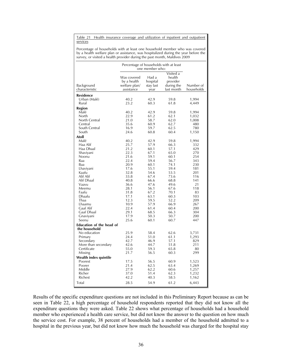Table 21 Health insurance coverage and utilization of inpatient and outpatient services

Percentage of households with at least one household member who was covered by a health welfare plan or assistance, was hospitalized during the year before the survey, or visited a health provider during the past month, Maldives 2009

|                                 | Percentage of households with at least                    | one member who:                        |                                                             |                         |
|---------------------------------|-----------------------------------------------------------|----------------------------------------|-------------------------------------------------------------|-------------------------|
| Background<br>characteristic    | Was covered<br>by a health<br>welfare plan/<br>assistance | Had a<br>hospital<br>stay last<br>year | Visited a<br>health<br>provider<br>during the<br>last month | Number of<br>households |
| <b>Residence</b>                |                                                           |                                        |                                                             |                         |
| Urban (Malé)                    | 40.2                                                      | 42.9                                   | 59.8                                                        | 1,994                   |
| Rural                           | 23.2                                                      | 60.3                                   | 61.8                                                        | 4,449                   |
|                                 |                                                           |                                        |                                                             |                         |
| Region<br>Malé                  | 40.2                                                      | 42.9                                   | 59.8                                                        | 1,994                   |
| North                           | 22.9                                                      | 61.2                                   | 62.1                                                        | 1,032                   |
| North Central                   | 21.0                                                      | 58.7                                   | 62.0                                                        | 1,008                   |
| Central                         | 35.6                                                      | 60.9                                   | 62.7                                                        | 480                     |
| South Central                   | 16.9                                                      | 59.7                                   | 62.5                                                        | 780                     |
| South                           | 24.6                                                      | 60.8                                   | 60.4                                                        | 1,150                   |
| Atoll                           |                                                           |                                        |                                                             |                         |
| Malé                            | 40.2                                                      | 42.9                                   | 59.8                                                        | 1,994                   |
| Haa Alif                        | 25.7                                                      | 57.9                                   | 66.3                                                        | 332                     |
| Haa Dhaal                       | 21.2                                                      | 60.1                                   | 57.1                                                        | 429                     |
| Shaviyani                       | 22.3                                                      | 67.1                                   | 65.0                                                        | 270                     |
| Noonu                           | 21.6                                                      | 59.1                                   | 60.1                                                        | 254                     |
| Raa                             | 22.4                                                      | 59.4                                   | 56.7                                                        | 343                     |
| Baa                             | 20.9                                                      | 60.1                                   | 74.1                                                        | 230                     |
| Lhaviyani                       | 17.6                                                      | 55.1                                   | 59.4                                                        | 181                     |
| Kaafu                           | 32.8                                                      | 54.6                                   | 53.5                                                        | 201                     |
| Alif Alif                       | 33.8                                                      | 67.4                                   | 73.6                                                        | 116                     |
| Alif Dhaal                      | 40.8                                                      | 66.6                                   | 68.8                                                        | 141                     |
| Vaavu                           | 36.6                                                      | 47.6                                   | 49.6                                                        | 21                      |
| Meemu                           | 28.1                                                      | 56.1                                   | 67.6                                                        | 118                     |
| Faafu                           | 31.8                                                      | 67.2                                   | 70.1                                                        | 83                      |
| Dhaalu                          | 17.1                                                      | 63.1                                   | 60.3                                                        | 103                     |
| Thaa                            | 12.3                                                      | 59.5                                   | 52.2                                                        | 209                     |
| Lhaamu                          | 10.9                                                      | 57.9                                   | 66.9                                                        | 267                     |
| Gaaf Alif                       | 22.4                                                      | 61.4                                   | 60.4                                                        | 200                     |
| Gaaf Dhaal                      | 29.1                                                      | 68.5                                   | 66.3                                                        | 304                     |
| Gnaviyani                       | 17.9                                                      | 50.3                                   | 50.7                                                        | 200                     |
| Seenu                           | 25.6                                                      | 60.1                                   | 60.7                                                        | 447                     |
| <b>Education of the head of</b> |                                                           |                                        |                                                             |                         |
| the household                   |                                                           |                                        |                                                             |                         |
| No education                    | 25.9                                                      | 58.4                                   | 62.6                                                        | 3,731                   |
| Primary                         | 24.4                                                      | 51.0                                   | 61.1                                                        | 1,293                   |
| Secondary                       | 42.7                                                      | 46.9                                   | 57.1                                                        | 829                     |
| More than secondary             | 42.6                                                      | 44.7                                   | 51.8                                                        | 211                     |
| Certificate                     | 55.0<br>21.7                                              | 59.3<br>56.5                           | 65.8<br>60.3                                                | 80<br>299               |
| Missing                         |                                                           |                                        |                                                             |                         |
| Wealth index quintile           |                                                           |                                        |                                                             |                         |
| Poorest                         | 17.5                                                      | 56.5                                   | 60.9                                                        | 1,523                   |
| Poorer                          | 21.4                                                      | 62.5                                   | 63.4                                                        | 1,269                   |
| Middle                          | 27.9                                                      | 62.2                                   | 60.6                                                        | 1,257                   |
| Richer                          | 37.0<br>42.2                                              | 51.4                                   | 62.3                                                        | 1,232                   |
| Richest                         |                                                           | 40.3                                   | 58.5                                                        | 1,162                   |
| Total                           | 28.5                                                      | 54.9                                   | 61.2                                                        | 6,443                   |

Results of the specific expenditure questions are not included in this Preliminary Report because as can be seen in Table 22, a high percentage of household respondents reported that they did not know all the expenditure questions they were asked. Table 22 shows what percentage of households had a household member who experienced a health care service, but did not know the answer to the question on how much the service cost. For example, 38 percent of households had a member of the household admitted to a hospital in the previous year, but did not know how much the household was charged for the hospital stay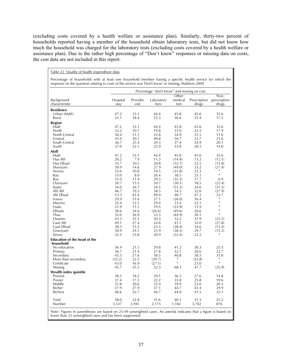(excluding costs covered by a health welfare or assistance plan). Similarly, thirty-two percent of households reported having a member of the household obtain laboratory tests, but did not know how much the household was charged for the laboratory tests (excluding costs covered by a health welfare or assistance plan). Due to the rather high percentage of "Don't know" responses or missing data on costs, the cost data are not included in this report.

|                                                  |                  |                   |                    |                          | Percentage "don't know" and missing on cost |                               |  |  |  |  |  |  |  |
|--------------------------------------------------|------------------|-------------------|--------------------|--------------------------|---------------------------------------------|-------------------------------|--|--|--|--|--|--|--|
| Background<br>characteristic                     | Hospital<br>stay | Provider<br>visit | Laboratory<br>fees | Other<br>medical<br>test | Prescription<br>drugs                       | Non-<br>prescription<br>drugs |  |  |  |  |  |  |  |
| <b>Residence</b>                                 |                  |                   |                    |                          |                                             |                               |  |  |  |  |  |  |  |
| Urban (Malé)                                     | 47.2             | 33.1              | 44.4               | 45.8                     | 45.6                                        | 35.6                          |  |  |  |  |  |  |  |
| Rural                                            | 35.1             | 18.4              | 25.3               | 36.6                     | 25.4                                        | 17.5                          |  |  |  |  |  |  |  |
| <b>Region</b>                                    |                  |                   |                    |                          |                                             |                               |  |  |  |  |  |  |  |
| Malé                                             | 47.2             | 33.1              | 44.4               | 45.8                     | 45.6                                        | 35.6                          |  |  |  |  |  |  |  |
| North                                            | 32.2             | 10.7              | 19.8               | 31.0                     | 22.5                                        | 17.9                          |  |  |  |  |  |  |  |
| North Central                                    | 30.4             | 11.1              | 22.8               | 34.9                     | 21.5                                        | 11.6                          |  |  |  |  |  |  |  |
| Central                                          | 43.4             | 30.1              | 40.8               | 50.7                     | 33.7                                        | 31.6                          |  |  |  |  |  |  |  |
| South Central                                    | 36.7             | 25.4              | 29.3               | 37.4                     | 24.9                                        | 20.1                          |  |  |  |  |  |  |  |
| South                                            | 37.0             | 22.1              | 22.9               | 33.8                     | 28.5                                        | 14.0                          |  |  |  |  |  |  |  |
| Atoll                                            |                  |                   |                    |                          |                                             |                               |  |  |  |  |  |  |  |
| Malé                                             | 47.2             | 33.1              | 44.4               | 45.8                     | 45.6                                        | 35.6                          |  |  |  |  |  |  |  |
| Haa Alif                                         | 20.2             | 7.9               | 11.3               | (14.8)                   | 13.2                                        | (12.1)                        |  |  |  |  |  |  |  |
| Haa Dhaal                                        | 35.7             | 10.5              | 20.8               | (32.1)                   | 22.5                                        | (13.8)                        |  |  |  |  |  |  |  |
| Shaviyani                                        | 39.9             | 14.6              | 27.9               | (49.0)                   | 33.2                                        | (27.4)                        |  |  |  |  |  |  |  |
| Noonu                                            | 32.6             | 10.8              | 19.5               | (31.8)                   | 23.3                                        | *                             |  |  |  |  |  |  |  |
| Raa                                              | 33.0             | 8.0               | 26.4               | 38.5                     | 25.1                                        | $\ast$                        |  |  |  |  |  |  |  |
| Baa                                              | 31.0             | 11.9              | 29.3               | (35.3)                   | 17.7                                        | 6.9                           |  |  |  |  |  |  |  |
| Lhaviyani                                        | 20.7             | 15.5              | 10.7               | (30.1)                   | 18.5                                        | (22.4)                        |  |  |  |  |  |  |  |
| Kaafu                                            | 34.0             | 26.7              | 34.5               | (53.3)                   | 24.6                                        | (31.5)                        |  |  |  |  |  |  |  |
| Alif Alif                                        | 46.7             | 19.3              | 38.5               | 54.5                     | 32.6                                        | (27.9)                        |  |  |  |  |  |  |  |
| Alif Dhaal                                       | 53.3             | 45.4              | 49.9               | 48.7                     | 47.2                                        | 33.7<br>$\ast$                |  |  |  |  |  |  |  |
| Vaavu                                            | 29.9             | 11.6              | 27.1               | (26.0)                   | 16.4                                        | $\ast$                        |  |  |  |  |  |  |  |
| Meemu<br>Faafu                                   | 35.4<br>21.9     | 12.5<br>11.1      | 29.4<br>19.5       | 33.4                     | 22.1<br>13.9                                | $\ast$                        |  |  |  |  |  |  |  |
| Dhaalu                                           | 38.6             | 24.6              | (26.6)             | (33.9)<br>(49.6)         | 26.6                                        | $\ast$                        |  |  |  |  |  |  |  |
| Thaa                                             | 35.0             | 26.9              | 33.3               | (44.9)                   | 20.1                                        | $\ast$                        |  |  |  |  |  |  |  |
| Lhaamu                                           | 43.3             | 35.1              | 30.3               | 32.2                     | 31.9                                        | (25.5)                        |  |  |  |  |  |  |  |
| Gaaf Alif                                        | 49.1             | 27.4              | 24.8               | 41.1                     | 32.0                                        | (27.8)                        |  |  |  |  |  |  |  |
| Gaaf Dhaal                                       | 38.5             | 15.5              | 23.3               | (28.4)                   | 34.6                                        | (11.4)                        |  |  |  |  |  |  |  |
| Gnaviyani                                        | 30.9             | 24.1              | 25.9               | (38.5)                   | 29.7                                        | (13.2)                        |  |  |  |  |  |  |  |
| Seenu                                            | 32.5             | 23.8              | 20.9               | (32.4)                   | 22.2                                        | *                             |  |  |  |  |  |  |  |
| <b>Education of the head of the</b><br>household |                  |                   |                    |                          |                                             |                               |  |  |  |  |  |  |  |
| No education                                     | 36.9             | 21.5              | 29.8               | 41.2                     | 30.3                                        | 25.5                          |  |  |  |  |  |  |  |
| Primary                                          | 36.7             | 21.4              | 27.8               | 32.1                     | 26.6                                        | 22.7                          |  |  |  |  |  |  |  |
| Secondary                                        | 43.5             | 27.6              | 38.5               | 40.8                     | 38.5                                        | 31.6                          |  |  |  |  |  |  |  |
| More than secondary                              | (33.2)           | 22.5              | (29.7)             | *                        | (35.8)                                      | $\ast$                        |  |  |  |  |  |  |  |
| Certificate                                      | 43.0             | 16.9              | (27.1)             | ∗                        | 23.0                                        | $\ast$                        |  |  |  |  |  |  |  |
| Missing                                          | 45.7             | 35.5              | 52.3               | 68.1                     | 47.7                                        | (25.9)                        |  |  |  |  |  |  |  |
| Wealth index quintile                            |                  |                   |                    |                          |                                             |                               |  |  |  |  |  |  |  |
| Poorest                                          | 38.5             | 18.2              | 29.1               | 36.3                     | 27.6                                        | 14.8                          |  |  |  |  |  |  |  |
| Poorer                                           | 37.4             | 17.2              | 22.2               | 33.8                     | 25.8                                        | 19.6                          |  |  |  |  |  |  |  |
| Middle                                           | 31.8             | 20.6              | 25.0               | 39.9                     | 22.0                                        | 20.3                          |  |  |  |  |  |  |  |
| Richer                                           | 37.9             | 27.9              | 37.1               | 44.7                     | 42.4                                        | 29.9                          |  |  |  |  |  |  |  |
| Richest                                          | 48.6             | 32.7              | 44.7               | 44.0                     | 41.5                                        | 35.1                          |  |  |  |  |  |  |  |
| Total                                            | 38.0             | 22.8              | 31.6               | 40.1                     | 31.3                                        | 25.2                          |  |  |  |  |  |  |  |
| Number                                           | 3,537            | 3,941             | 2,175              | 1,182                    | 3,702                                       | 876                           |  |  |  |  |  |  |  |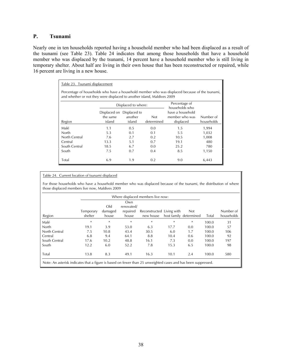# **P. Tsunami**

Nearly one in ten households reported having a household member who had been displaced as a result of the tsunami (see Table 23). Table 24 indicates that among those households that have a household member who was displaced by the tsunami, 14 percent have a household member who is still living in temporary shelter. About half are living in their own house that has been reconstructed or repaired, while 16 percent are living in a new house.

| Table 23. Tsunami displacement                                                                                                                                            |                    |                                                                            |     |                                                 |                         |  |  |  |  |
|---------------------------------------------------------------------------------------------------------------------------------------------------------------------------|--------------------|----------------------------------------------------------------------------|-----|-------------------------------------------------|-------------------------|--|--|--|--|
| Percentage of households who have a household member who was displaced because of the tsunami,<br>and whether or not they were displaced to another island, Maldives 2009 |                    |                                                                            |     |                                                 |                         |  |  |  |  |
| Percentage of<br>Displaced to where:<br>households who                                                                                                                    |                    |                                                                            |     |                                                 |                         |  |  |  |  |
| Region                                                                                                                                                                    | the same<br>island | Displaced on Displaced to<br>another<br><b>Not</b><br>island<br>determined |     | have a household<br>member who was<br>displaced | Number of<br>households |  |  |  |  |
| Malé                                                                                                                                                                      | 1.1                | 0.5                                                                        | 0.0 | 1.5                                             | 1,994                   |  |  |  |  |
| North                                                                                                                                                                     | 5.3                | 0.1                                                                        | 0.1 | 5.5                                             | 1,032                   |  |  |  |  |
| North Central                                                                                                                                                             | 7.6                | 2.7                                                                        | 0.2 | 10.5                                            | 1,008                   |  |  |  |  |
| Central                                                                                                                                                                   | 13.3               | 5.1                                                                        | 0.7 | 19.1                                            | 480                     |  |  |  |  |
| South Central                                                                                                                                                             | 18.5               | 6.7                                                                        | 0.0 | 25.2                                            | 780                     |  |  |  |  |
| South                                                                                                                                                                     | 7.5                | 0.7                                                                        | 0.4 | 8.5                                             | 1,150                   |  |  |  |  |
| Total                                                                                                                                                                     | 6.9                | 1.9                                                                        | 0.2 | 9.0                                             | 6,443                   |  |  |  |  |

#### Table 24. Current location of tsunami displaced

For those households who have a household member who was displaced because of the tsunami, the distribution of where those displaced members live now, Maldives 2009

|                                                                                                               |           |         | Own        |                           |      |                        |       |            |
|---------------------------------------------------------------------------------------------------------------|-----------|---------|------------|---------------------------|------|------------------------|-------|------------|
|                                                                                                               |           | Old     | renovated/ |                           |      |                        |       |            |
|                                                                                                               | Temporary | damaged | repaired   | Reconstructed Living with |      | <b>Not</b>             |       | Number of  |
| Region                                                                                                        | shelter   | house   | house      | new house                 |      | host family determined | Total | households |
| Malé                                                                                                          | *         | $\ast$  | $\ast$     | $\ast$                    | $*$  | $\ast$                 | 100.0 | 31         |
| North                                                                                                         | 19.1      | 3.9     | 53.0       | 6.3                       | 17.7 | 0.0                    | 100.0 | 57         |
| North Central                                                                                                 | 7.5       | 10.8    | 43.4       | 30.5                      | 6.0  | 1.7                    | 100.0 | 106        |
| Central                                                                                                       | 6.8       | 9.4     | 64.1       | 8.8                       | 10.4 | 0.6                    | 100.0 | 92         |
| South Central                                                                                                 | 17.6      | 10.2    | 48.8       | 16.1                      | 7.3  | 0.0                    | 100.0 | 197        |
| South                                                                                                         | 12.2      | 6.0     | 52.2       | 7.8                       | 15.3 | 6.5                    | 100.0 | 98         |
| Total                                                                                                         | 13.8      | 8.3     | 49.1       | 16.3                      | 10.1 | 2.4                    | 100.0 | 580        |
| Note: An asterisk indicates that a figure is based on fewer than 25 unweighted cases and has been suppressed. |           |         |            |                           |      |                        |       |            |